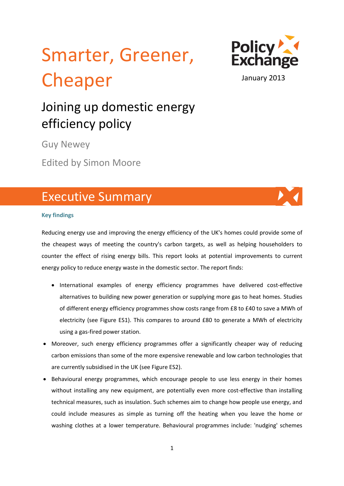# Smarter, Greener, Cheaper



#### January 2013

## Joining up domestic energy efficiency policy

Guy Newey

Edited by Simon Moore

### Executive Summary

#### **Key findings**

Reducing energy use and improving the energy efficiency of the UK's homes could provide some of the cheapest ways of meeting the country's carbon targets, as well as helping householders to counter the effect of rising energy bills. This report looks at potential improvements to current energy policy to reduce energy waste in the domestic sector. The report finds:

- International examples of energy efficiency programmes have delivered cost-effective alternatives to building new power generation or supplying more gas to heat homes. Studies of different energy efficiency programmes show costs range from £8 to £40 to save a MWh of electricity (see Figure ES1). This compares to around £80 to generate a MWh of electricity using a gas-fired power station.
- Moreover, such energy efficiency programmes offer a significantly cheaper way of reducing carbon emissions than some of the more expensive renewable and low carbon technologies that are currently subsidised in the UK (see Figure ES2).
- Behavioural energy programmes, which encourage people to use less energy in their homes without installing any new equipment, are potentially even more cost-effective than installing technical measures, such as insulation. Such schemes aim to change how people use energy, and could include measures as simple as turning off the heating when you leave the home or washing clothes at a lower temperature. Behavioural programmes include: 'nudging' schemes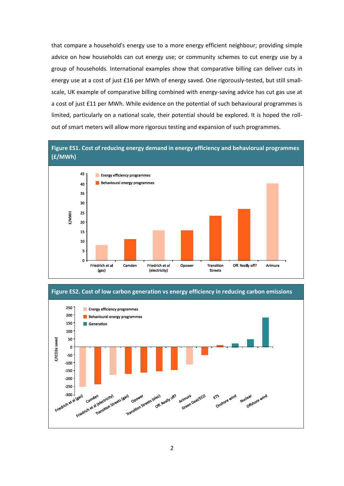that compare a household's energy use to a more energy efficient neighbour; providing simple advice on how households can cut energy use; or community schemes to cut energy use by a group of households. International examples show that comparative billing can deliver cuts in energy use at a cost of just £16 per MWh of energy saved. One rigorously-tested, but still smallscale, UK example of comparative billing combined with energy-saving advice has cut gas use at a cost of just £11 per MWh. While evidence on the potential of such behavioural programmes is limited, particularly on a national scale, their potential should be explored. It is hoped the rollout of smart meters will allow more rigorous testing and expansion of such programmes.





**Figure ES2. Cost of low carbon generation vs energy efficiency in reducing carbon emissions**

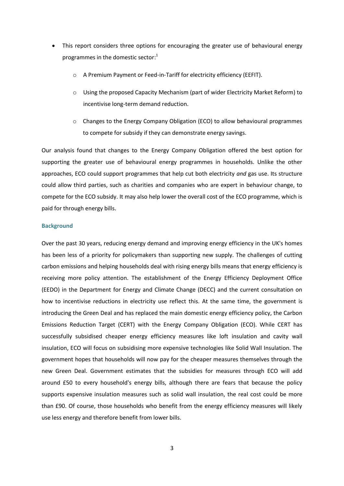- This report considers three options for encouraging the greater use of behavioural energy programmes in the domestic sector:<sup>1</sup>
	- o A Premium Payment or Feed-in-Tariff for electricity efficiency (EEFIT).
	- $\circ$  Using the proposed Capacity Mechanism (part of wider Electricity Market Reform) to incentivise long-term demand reduction.
	- o Changes to the Energy Company Obligation (ECO) to allow behavioural programmes to compete for subsidy if they can demonstrate energy savings.

Our analysis found that changes to the Energy Company Obligation offered the best option for supporting the greater use of behavioural energy programmes in households. Unlike the other approaches, ECO could support programmes that help cut both electricity *and* gas use. Its structure could allow third parties, such as charities and companies who are expert in behaviour change, to compete for the ECO subsidy. It may also help lower the overall cost of the ECO programme, which is paid for through energy bills.

#### **Background**

Over the past 30 years, reducing energy demand and improving energy efficiency in the UK's homes has been less of a priority for policymakers than supporting new supply. The challenges of cutting carbon emissions and helping households deal with rising energy bills means that energy efficiency is receiving more policy attention. The establishment of the Energy Efficiency Deployment Office (EEDO) in the Department for Energy and Climate Change (DECC) and the current consultation on how to incentivise reductions in electricity use reflect this. At the same time, the government is introducing the Green Deal and has replaced the main domestic energy efficiency policy, the Carbon Emissions Reduction Target (CERT) with the Energy Company Obligation (ECO). While CERT has successfully subsidised cheaper energy efficiency measures like loft insulation and cavity wall insulation, ECO will focus on subsidising more expensive technologies like Solid Wall Insulation. The government hopes that households will now pay for the cheaper measures themselves through the new Green Deal. Government estimates that the subsidies for measures through ECO will add around £50 to every household's energy bills, although there are fears that because the policy supports expensive insulation measures such as solid wall insulation, the real cost could be more than £90. Of course, those households who benefit from the energy efficiency measures will likely use less energy and therefore benefit from lower bills.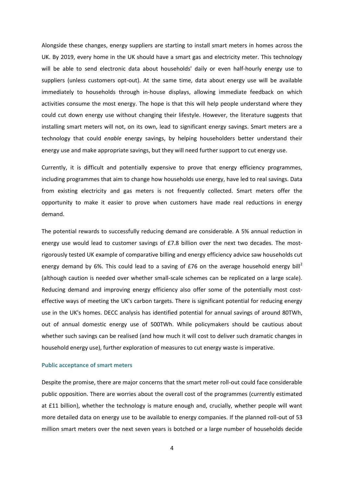Alongside these changes, energy suppliers are starting to install smart meters in homes across the UK. By 2019, every home in the UK should have a smart gas and electricity meter. This technology will be able to send electronic data about households' daily or even half-hourly energy use to suppliers (unless customers opt-out). At the same time, data about energy use will be available immediately to households through in-house displays, allowing immediate feedback on which activities consume the most energy. The hope is that this will help people understand where they could cut down energy use without changing their lifestyle. However, the literature suggests that installing smart meters will not, on its own, lead to significant energy savings. Smart meters are a technology that could *enable* energy savings, by helping householders better understand their energy use and make appropriate savings, but they will need further support to cut energy use.

Currently, it is difficult and potentially expensive to prove that energy efficiency programmes, including programmes that aim to change how households use energy, have led to real savings. Data from existing electricity and gas meters is not frequently collected. Smart meters offer the opportunity to make it easier to prove when customers have made real reductions in energy demand.

The potential rewards to successfully reducing demand are considerable. A 5% annual reduction in energy use would lead to customer savings of £7.8 billion over the next two decades. The mostrigorously tested UK example of comparative billing and energy efficiency advice saw households cut energy demand by 6%. This could lead to a saving of £76 on the average household energy bill<sup>2</sup> (although caution is needed over whether small-scale schemes can be replicated on a large scale). Reducing demand and improving energy efficiency also offer some of the potentially most costeffective ways of meeting the UK's carbon targets. There is significant potential for reducing energy use in the UK's homes. DECC analysis has identified potential for annual savings of around 80TWh, out of annual domestic energy use of 500TWh. While policymakers should be cautious about whether such savings can be realised (and how much it will cost to deliver such dramatic changes in household energy use), further exploration of measures to cut energy waste is imperative.

#### **Public acceptance of smart meters**

Despite the promise, there are major concerns that the smart meter roll-out could face considerable public opposition. There are worries about the overall cost of the programmes (currently estimated at £11 billion), whether the technology is mature enough and, crucially, whether people will want more detailed data on energy use to be available to energy companies. If the planned roll-out of 53 million smart meters over the next seven years is botched or a large number of households decide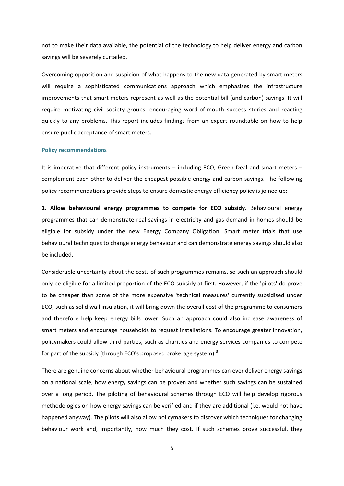not to make their data available, the potential of the technology to help deliver energy and carbon savings will be severely curtailed.

Overcoming opposition and suspicion of what happens to the new data generated by smart meters will require a sophisticated communications approach which emphasises the infrastructure improvements that smart meters represent as well as the potential bill (and carbon) savings. It will require motivating civil society groups, encouraging word-of-mouth success stories and reacting quickly to any problems. This report includes findings from an expert roundtable on how to help ensure public acceptance of smart meters.

#### **Policy recommendations**

It is imperative that different policy instruments – including ECO, Green Deal and smart meters – complement each other to deliver the cheapest possible energy and carbon savings. The following policy recommendations provide steps to ensure domestic energy efficiency policy is joined up:

**1. Allow behavioural energy programmes to compete for ECO subsidy**. Behavioural energy programmes that can demonstrate real savings in electricity and gas demand in homes should be eligible for subsidy under the new Energy Company Obligation. Smart meter trials that use behavioural techniques to change energy behaviour and can demonstrate energy savings should also be included.

Considerable uncertainty about the costs of such programmes remains, so such an approach should only be eligible for a limited proportion of the ECO subsidy at first. However, if the 'pilots' do prove to be cheaper than some of the more expensive 'technical measures' currently subsidised under ECO, such as solid wall insulation, it will bring down the overall cost of the programme to consumers and therefore help keep energy bills lower. Such an approach could also increase awareness of smart meters and encourage households to request installations. To encourage greater innovation, policymakers could allow third parties, such as charities and energy services companies to compete for part of the subsidy (through ECO's proposed brokerage system).<sup>3</sup>

There are genuine concerns about whether behavioural programmes can ever deliver energy savings on a national scale, how energy savings can be proven and whether such savings can be sustained over a long period. The piloting of behavioural schemes through ECO will help develop rigorous methodologies on how energy savings can be verified and if they are additional (i.e. would not have happened anyway). The pilots will also allow policymakers to discover which techniques for changing behaviour work and, importantly, how much they cost. If such schemes prove successful, they

5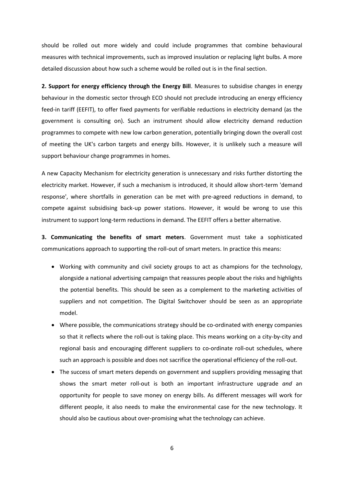should be rolled out more widely and could include programmes that combine behavioural measures with technical improvements, such as improved insulation or replacing light bulbs. A more detailed discussion about how such a scheme would be rolled out is in the final section.

**2. Support for energy efficiency through the Energy Bill**. Measures to subsidise changes in energy behaviour in the domestic sector through ECO should not preclude introducing an energy efficiency feed-in tariff (EEFIT), to offer fixed payments for verifiable reductions in electricity demand (as the government is consulting on). Such an instrument should allow electricity demand reduction programmes to compete with new low carbon generation, potentially bringing down the overall cost of meeting the UK's carbon targets and energy bills. However, it is unlikely such a measure will support behaviour change programmes in homes.

A new Capacity Mechanism for electricity generation is unnecessary and risks further distorting the electricity market. However, if such a mechanism is introduced, it should allow short-term 'demand response', where shortfalls in generation can be met with pre-agreed reductions in demand, to compete against subsidising back-up power stations. However, it would be wrong to use this instrument to support long-term reductions in demand. The EEFIT offers a better alternative.

**3. Communicating the benefits of smart meters**. Government must take a sophisticated communications approach to supporting the roll-out of smart meters. In practice this means:

- Working with community and civil society groups to act as champions for the technology, alongside a national advertising campaign that reassures people about the risks and highlights the potential benefits. This should be seen as a complement to the marketing activities of suppliers and not competition. The Digital Switchover should be seen as an appropriate model.
- Where possible, the communications strategy should be co-ordinated with energy companies so that it reflects where the roll-out is taking place. This means working on a city-by-city and regional basis and encouraging different suppliers to co-ordinate roll-out schedules, where such an approach is possible and does not sacrifice the operational efficiency of the roll-out.
- The success of smart meters depends on government and suppliers providing messaging that shows the smart meter roll-out is both an important infrastructure upgrade *and* an opportunity for people to save money on energy bills. As different messages will work for different people, it also needs to make the environmental case for the new technology. It should also be cautious about over-promising what the technology can achieve.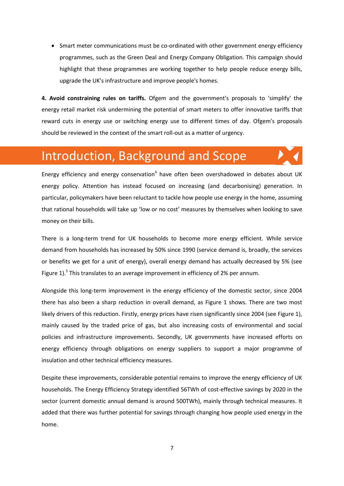• Smart meter communications must be co-ordinated with other government energy efficiency programmes, such as the Green Deal and Energy Company Obligation. This campaign should highlight that these programmes are working together to help people reduce energy bills, upgrade the UK's infrastructure and improve people's homes.

**4. Avoid constraining rules on tariffs.** Ofgem and the government's proposals to 'simplify' the energy retail market risk undermining the potential of smart meters to offer innovative tariffs that reward cuts in energy use or switching energy use to different times of day. Ofgem's proposals should be reviewed in the context of the smart roll-out as a matter of urgency.

### Introduction, Background and Scope

Energy efficiency and energy conservation<sup>4</sup> have often been overshadowed in debates about UK energy policy. Attention has instead focused on increasing (and decarbonising) generation. In particular, policymakers have been reluctant to tackle how people use energy in the home, assuming that rational households will take up 'low or no cost' measures by themselves when looking to save money on their bills.

There is a long-term trend for UK households to become more energy efficient. While service demand from households has increased by 50% since 1990 (service demand is, broadly, the services or benefits we get for a unit of energy), overall energy demand has actually decreased by 5% (see Figure 1).<sup>5</sup> This translates to an average improvement in efficiency of 2% per annum.

Alongside this long-term improvement in the energy efficiency of the domestic sector, since 2004 there has also been a sharp reduction in overall demand, as Figure 1 shows. There are two most likely drivers of this reduction. Firstly, energy prices have risen significantly since 2004 (see Figure 1), mainly caused by the traded price of gas, but also increasing costs of environmental and social policies and infrastructure improvements. Secondly, UK governments have increased efforts on energy efficiency through obligations on energy suppliers to support a major programme of insulation and other technical efficiency measures.

Despite these improvements, considerable potential remains to improve the energy efficiency of UK households. The Energy Efficiency Strategy identified 56TWh of cost-effective savings by 2020 in the sector (current domestic annual demand is around 500TWh), mainly through technical measures. It added that there was further potential for savings through changing how people used energy in the home.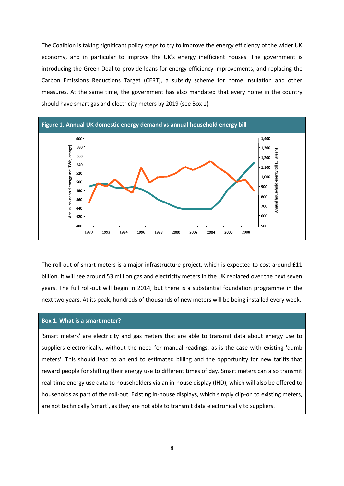The Coalition is taking significant policy steps to try to improve the energy efficiency of the wider UK economy, and in particular to improve the UK's energy inefficient houses. The government is introducing the Green Deal to provide loans for energy efficiency improvements, and replacing the Carbon Emissions Reductions Target (CERT), a subsidy scheme for home insulation and other measures. At the same time, the government has also mandated that every home in the country should have smart gas and electricity meters by 2019 (see Box 1).



The roll out of smart meters is a major infrastructure project, which is expected to cost around £11 billion. It will see around 53 million gas and electricity meters in the UK replaced over the next seven years. The full roll-out will begin in 2014, but there is a substantial foundation programme in the next two years. At its peak, hundreds of thousands of new meters will be being installed every week.

#### **Box 1. What is a smart meter?**

'Smart meters' are electricity and gas meters that are able to transmit data about energy use to suppliers electronically, without the need for manual readings, as is the case with existing 'dumb meters'. This should lead to an end to estimated billing and the opportunity for new tariffs that reward people for shifting their energy use to different times of day. Smart meters can also transmit real-time energy use data to householders via an in-house display (IHD), which will also be offered to households as part of the roll-out. Existing in-house displays, which simply clip-on to existing meters, are not technically 'smart', as they are not able to transmit data electronically to suppliers.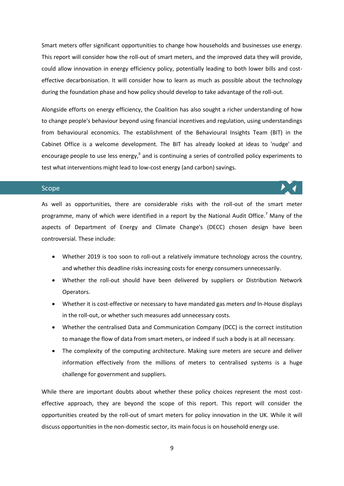Smart meters offer significant opportunities to change how households and businesses use energy. This report will consider how the roll-out of smart meters, and the improved data they will provide, could allow innovation in energy efficiency policy, potentially leading to both lower bills and costeffective decarbonisation. It will consider how to learn as much as possible about the technology during the foundation phase and how policy should develop to take advantage of the roll-out.

Alongside efforts on energy efficiency, the Coalition has also sought a richer understanding of how to change people's behaviour beyond using financial incentives and regulation, using understandings from behavioural economics. The establishment of the Behavioural Insights Team (BIT) in the Cabinet Office is a welcome development. The BIT has already looked at ideas to 'nudge' and encourage people to use less energy,<sup>6</sup> and is continuing a series of controlled policy experiments to test what interventions might lead to low-cost energy (and carbon) savings.

#### Scope

As well as opportunities, there are considerable risks with the roll-out of the smart meter programme, many of which were identified in a report by the National Audit Office.<sup>7</sup> Many of the aspects of Department of Energy and Climate Change's (DECC) chosen design have been controversial. These include:

- Whether 2019 is too soon to roll-out a relatively immature technology across the country, and whether this deadline risks increasing costs for energy consumers unnecessarily.
- Whether the roll-out should have been delivered by suppliers or Distribution Network Operators.
- Whether it is cost-effective or necessary to have mandated gas meters *and* In-House displays in the roll-out, or whether such measures add unnecessary costs.
- Whether the centralised Data and Communication Company (DCC) is the correct institution to manage the flow of data from smart meters, or indeed if such a body is at all necessary.
- The complexity of the computing architecture. Making sure meters are secure and deliver information effectively from the millions of meters to centralised systems is a huge challenge for government and suppliers.

While there are important doubts about whether these policy choices represent the most costeffective approach, they are beyond the scope of this report. This report will consider the opportunities created by the roll-out of smart meters for policy innovation in the UK. While it will discuss opportunities in the non-domestic sector, its main focus is on household energy use.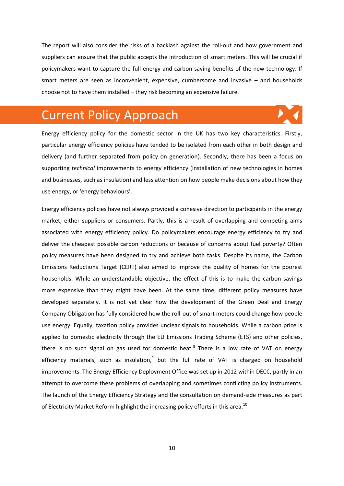The report will also consider the risks of a backlash against the roll-out and how government and suppliers can ensure that the public accepts the introduction of smart meters. This will be crucial if policymakers want to capture the full energy and carbon saving benefits of the new technology. If smart meters are seen as inconvenient, expensive, cumbersome and invasive – and households choose not to have them installed – they risk becoming an expensive failure.

### Current Policy Approach

Energy efficiency policy for the domestic sector in the UK has two key characteristics. Firstly, particular energy efficiency policies have tended to be isolated from each other in both design and delivery (and further separated from policy on generation). Secondly, there has been a focus on supporting *technical* improvements to energy efficiency (installation of new technologies in homes and businesses, such as insulation) and less attention on how people make decisions about how they use energy, or 'energy behaviours'.

Energy efficiency policies have not always provided a cohesive direction to participants in the energy market, either suppliers or consumers. Partly, this is a result of overlapping and competing aims associated with energy efficiency policy. Do policymakers encourage energy efficiency to try and deliver the cheapest possible carbon reductions or because of concerns about fuel poverty? Often policy measures have been designed to try and achieve both tasks. Despite its name, the Carbon Emissions Reductions Target (CERT) also aimed to improve the quality of homes for the poorest households. While an understandable objective, the effect of this is to make the carbon savings more expensive than they might have been. At the same time, different policy measures have developed separately. It is not yet clear how the development of the Green Deal and Energy Company Obligation has fully considered how the roll-out of smart meters could change how people use energy. Equally, taxation policy provides unclear signals to households. While a carbon price is applied to domestic electricity through the EU Emissions Trading Scheme (ETS) and other policies, there is no such signal on gas used for domestic heat.<sup>8</sup> There is a low rate of VAT on energy efficiency materials, such as insulation, $9$  but the full rate of VAT is charged on household improvements. The Energy Efficiency Deployment Office was set up in 2012 within DECC, partly in an attempt to overcome these problems of overlapping and sometimes conflicting policy instruments. The launch of the Energy Efficiency Strategy and the consultation on demand-side measures as part of Electricity Market Reform highlight the increasing policy efforts in this area.<sup>10</sup>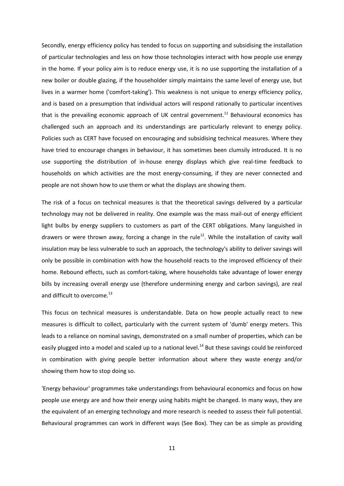Secondly, energy efficiency policy has tended to focus on supporting and subsidising the installation of particular technologies and less on how those technologies interact with how people use energy in the home. If your policy aim is to reduce energy use, it is no use supporting the installation of a new boiler or double glazing, if the householder simply maintains the same level of energy use, but lives in a warmer home ('comfort-taking'). This weakness is not unique to energy efficiency policy, and is based on a presumption that individual actors will respond rationally to particular incentives that is the prevailing economic approach of UK central government.<sup>11</sup> Behavioural economics has challenged such an approach and its understandings are particularly relevant to energy policy. Policies such as CERT have focused on encouraging and subsidising technical measures. Where they have tried to encourage changes in behaviour, it has sometimes been clumsily introduced. It is no use supporting the distribution of in-house energy displays which give real-time feedback to households on which activities are the most energy-consuming, if they are never connected and people are not shown how to use them or what the displays are showing them.

The risk of a focus on technical measures is that the theoretical savings delivered by a particular technology may not be delivered in reality. One example was the mass mail-out of energy efficient light bulbs by energy suppliers to customers as part of the CERT obligations. Many languished in drawers or were thrown away, forcing a change in the rule<sup>12</sup>. While the installation of cavity wall insulation may be less vulnerable to such an approach, the technology's ability to deliver savings will only be possible in combination with how the household reacts to the improved efficiency of their home. Rebound effects, such as comfort-taking, where households take advantage of lower energy bills by increasing overall energy use (therefore undermining energy and carbon savings), are real and difficult to overcome.<sup>13</sup>

This focus on technical measures is understandable. Data on how people actually react to new measures is difficult to collect, particularly with the current system of 'dumb' energy meters. This leads to a reliance on nominal savings, demonstrated on a small number of properties, which can be easily plugged into a model and scaled up to a national level.<sup>14</sup> But these savings could be reinforced in combination with giving people better information about where they waste energy and/or showing them how to stop doing so.

'Energy behaviour' programmes take understandings from behavioural economics and focus on how people use energy are and how their energy using habits might be changed. In many ways, they are the equivalent of an emerging technology and more research is needed to assess their full potential. Behavioural programmes can work in different ways (See Box). They can be as simple as providing

11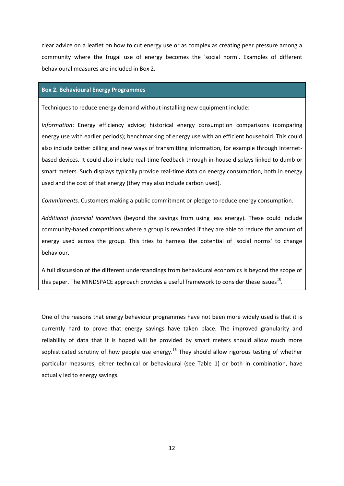clear advice on a leaflet on how to cut energy use or as complex as creating peer pressure among a community where the frugal use of energy becomes the 'social norm'. Examples of different behavioural measures are included in Box 2.

#### **Box 2. Behavioural Energy Programmes**

Techniques to reduce energy demand without installing new equipment include:

*Information*: Energy efficiency advice; historical energy consumption comparisons (comparing energy use with earlier periods); benchmarking of energy use with an efficient household. This could also include better billing and new ways of transmitting information, for example through Internetbased devices. It could also include real-time feedback through in-house displays linked to dumb or smart meters. Such displays typically provide real-time data on energy consumption, both in energy used and the cost of that energy (they may also include carbon used).

*Commitments*. Customers making a public commitment or pledge to reduce energy consumption.

*Additional financial incentives* (beyond the savings from using less energy). These could include community-based competitions where a group is rewarded if they are able to reduce the amount of energy used across the group. This tries to harness the potential of 'social norms' to change behaviour.

A full discussion of the different understandings from behavioural economics is beyond the scope of this paper. The MINDSPACE approach provides a useful framework to consider these issues<sup>15</sup>.

One of the reasons that energy behaviour programmes have not been more widely used is that it is currently hard to prove that energy savings have taken place. The improved granularity and reliability of data that it is hoped will be provided by smart meters should allow much more sophisticated scrutiny of how people use energy.<sup>16</sup> They should allow rigorous testing of whether particular measures, either technical or behavioural (see Table 1) or both in combination, have actually led to energy savings.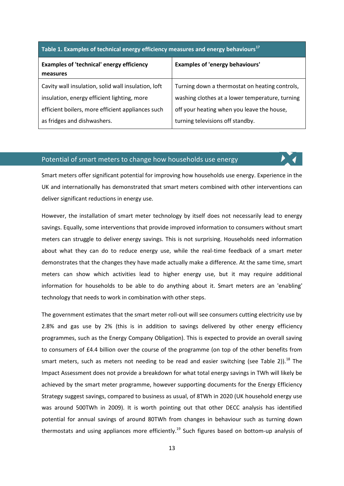#### **Table 1. Examples of technical energy efficiency measures and energy behaviours<sup>17</sup>**

| <b>Examples of 'technical' energy efficiency</b><br>measures | <b>Examples of 'energy behaviours'</b>          |
|--------------------------------------------------------------|-------------------------------------------------|
| Cavity wall insulation, solid wall insulation, loft          | Turning down a thermostat on heating controls,  |
| insulation, energy efficient lighting, more                  | washing clothes at a lower temperature, turning |
| efficient boilers, more efficient appliances such            | off your heating when you leave the house,      |
| as fridges and dishwashers.                                  | turning televisions off standby.                |

#### Potential of smart meters to change how households use energy

Smart meters offer significant potential for improving how households use energy. Experience in the UK and internationally has demonstrated that smart meters combined with other interventions can deliver significant reductions in energy use.

However, the installation of smart meter technology by itself does not necessarily lead to energy savings. Equally, some interventions that provide improved information to consumers without smart meters can struggle to deliver energy savings. This is not surprising. Households need information about what they can do to reduce energy use, while the real-time feedback of a smart meter demonstrates that the changes they have made actually make a difference. At the same time, smart meters can show which activities lead to higher energy use, but it may require additional information for households to be able to do anything about it. Smart meters are an 'enabling' technology that needs to work in combination with other steps.

The government estimates that the smart meter roll-out will see consumers cutting electricity use by 2.8% and gas use by 2% (this is in addition to savings delivered by other energy efficiency programmes, such as the Energy Company Obligation). This is expected to provide an overall saving to consumers of £4.4 billion over the course of the programme (on top of the other benefits from smart meters, such as meters not needing to be read and easier switching (see Table 2)).<sup>18</sup> The Impact Assessment does not provide a breakdown for what total energy savings in TWh will likely be achieved by the smart meter programme, however supporting documents for the Energy Efficiency Strategy suggest savings, compared to business as usual, of 8TWh in 2020 (UK household energy use was around 500TWh in 2009). It is worth pointing out that other DECC analysis has identified potential for annual savings of around 80TWh from changes in behaviour such as turning down thermostats and using appliances more efficiently.<sup>19</sup> Such figures based on bottom-up analysis of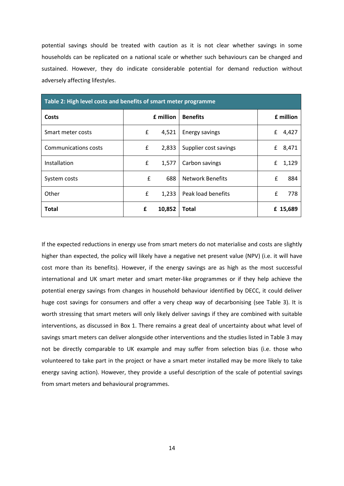potential savings should be treated with caution as it is not clear whether savings in some households can be replicated on a national scale or whether such behaviours can be changed and sustained. However, they do indicate considerable potential for demand reduction without adversely affecting lifestyles.

| Table 2: High level costs and benefits of smart meter programme |   |           |                         |   |           |
|-----------------------------------------------------------------|---|-----------|-------------------------|---|-----------|
| Costs                                                           |   | £ million | <b>Benefits</b>         |   | £ million |
| Smart meter costs                                               | £ | 4,521     | <b>Energy savings</b>   | £ | 4,427     |
| Communications costs                                            | £ | 2,833     | Supplier cost savings   | £ | 8,471     |
| Installation                                                    | £ | 1,577     | Carbon savings          | £ | 1,129     |
| System costs                                                    | £ | 688       | <b>Network Benefits</b> | £ | 884       |
| Other                                                           | £ | 1,233     | Peak load benefits      | £ | 778       |
| Total                                                           | £ | 10,852    | <b>Total</b>            |   | £ 15,689  |

If the expected reductions in energy use from smart meters do not materialise and costs are slightly higher than expected, the policy will likely have a negative net present value (NPV) (i.e. it will have cost more than its benefits). However, if the energy savings are as high as the most successful international and UK smart meter and smart meter-like programmes or if they help achieve the potential energy savings from changes in household behaviour identified by DECC, it could deliver huge cost savings for consumers and offer a very cheap way of decarbonising (see Table 3). It is worth stressing that smart meters will only likely deliver savings if they are combined with suitable interventions, as discussed in Box 1. There remains a great deal of uncertainty about what level of savings smart meters can deliver alongside other interventions and the studies listed in Table 3 may not be directly comparable to UK example and may suffer from selection bias (i.e. those who volunteered to take part in the project or have a smart meter installed may be more likely to take energy saving action). However, they provide a useful description of the scale of potential savings from smart meters and behavioural programmes.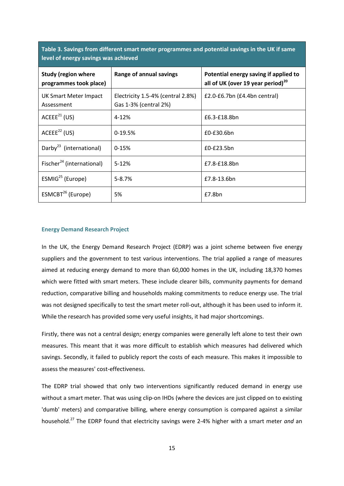**Table 3. Savings from different smart meter programmes and potential savings in the UK if same level of energy savings was achieved**

| <b>Study (region where</b><br>programmes took place) | Range of annual savings                                    | Potential energy saving if applied to<br>all of UK (over 19 year period) <sup>20</sup> |
|------------------------------------------------------|------------------------------------------------------------|----------------------------------------------------------------------------------------|
| UK Smart Meter Impact<br>Assessment                  | Electricity 1.5-4% (central 2.8%)<br>Gas 1-3% (central 2%) | £2.0-£6.7bn (£4.4bn central)                                                           |
| $ACEEE^{21}$ (US)                                    | $4 - 12%$                                                  | £6.3-£18.8bn                                                                           |
| ACEEE <sup>22</sup> (US)                             | $0-19.5%$                                                  | $£0-E30.6$ bn                                                                          |
| Darby <sup>23</sup> (international)                  | $0-15%$                                                    | $£0-E23.5bn$                                                                           |
| Fischer <sup>24</sup> (international)                | $5 - 12%$                                                  | £7.8-£18.8bn                                                                           |
| ESMIG <sup>25</sup> (Europe)                         | $5 - 8.7%$                                                 | £7.8-13.6bn                                                                            |
| ESMCBT <sup>26</sup> (Europe)                        | 5%                                                         | £7.8bn                                                                                 |

#### **Energy Demand Research Project**

In the UK, the Energy Demand Research Project (EDRP) was a joint scheme between five energy suppliers and the government to test various interventions. The trial applied a range of measures aimed at reducing energy demand to more than 60,000 homes in the UK, including 18,370 homes which were fitted with smart meters. These include clearer bills, community payments for demand reduction, comparative billing and households making commitments to reduce energy use. The trial was not designed specifically to test the smart meter roll-out, although it has been used to inform it. While the research has provided some very useful insights, it had major shortcomings.

Firstly, there was not a central design; energy companies were generally left alone to test their own measures. This meant that it was more difficult to establish which measures had delivered which savings. Secondly, it failed to publicly report the costs of each measure. This makes it impossible to assess the measures' cost-effectiveness.

The EDRP trial showed that only two interventions significantly reduced demand in energy use without a smart meter. That was using clip-on IHDs (where the devices are just clipped on to existing 'dumb' meters) and comparative billing, where energy consumption is compared against a similar household.<sup>27</sup> The EDRP found that electricity savings were 2-4% higher with a smart meter *and* an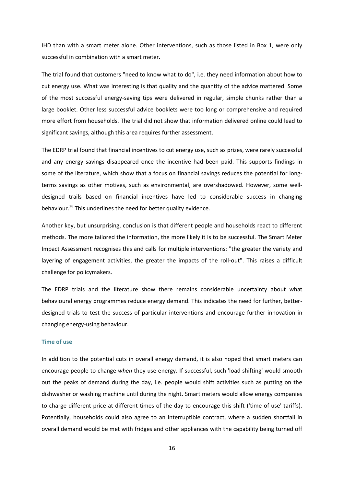IHD than with a smart meter alone. Other interventions, such as those listed in Box 1, were only successful in combination with a smart meter.

The trial found that customers "need to know what to do", i.e. they need information about how to cut energy use. What was interesting is that quality and the quantity of the advice mattered. Some of the most successful energy-saving tips were delivered in regular, simple chunks rather than a large booklet. Other less successful advice booklets were too long or comprehensive and required more effort from households. The trial did not show that information delivered online could lead to significant savings, although this area requires further assessment.

The EDRP trial found that financial incentives to cut energy use, such as prizes, were rarely successful and any energy savings disappeared once the incentive had been paid. This supports findings in some of the literature, which show that a focus on financial savings reduces the potential for longterms savings as other motives, such as environmental, are overshadowed. However, some welldesigned trails based on financial incentives have led to considerable success in changing behaviour.<sup>28</sup> This underlines the need for better quality evidence.

Another key, but unsurprising, conclusion is that different people and households react to different methods. The more tailored the information, the more likely it is to be successful. The Smart Meter Impact Assessment recognises this and calls for multiple interventions: "the greater the variety and layering of engagement activities, the greater the impacts of the roll-out". This raises a difficult challenge for policymakers.

The EDRP trials and the literature show there remains considerable uncertainty about what behavioural energy programmes reduce energy demand. This indicates the need for further, betterdesigned trials to test the success of particular interventions and encourage further innovation in changing energy-using behaviour.

#### **Time of use**

In addition to the potential cuts in overall energy demand, it is also hoped that smart meters can encourage people to change *when* they use energy. If successful, such 'load shifting' would smooth out the peaks of demand during the day, i.e. people would shift activities such as putting on the dishwasher or washing machine until during the night. Smart meters would allow energy companies to charge different price at different times of the day to encourage this shift ('time of use' tariffs). Potentially, households could also agree to an interruptible contract, where a sudden shortfall in overall demand would be met with fridges and other appliances with the capability being turned off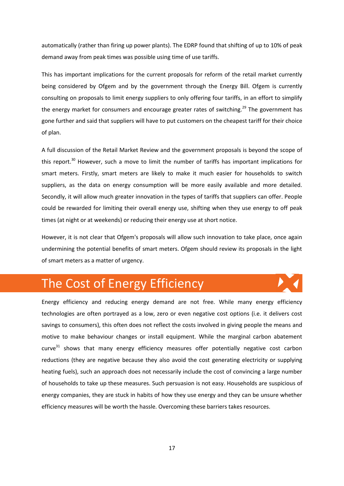automatically (rather than firing up power plants). The EDRP found that shifting of up to 10% of peak demand away from peak times was possible using time of use tariffs.

This has important implications for the current proposals for reform of the retail market currently being considered by Ofgem and by the government through the Energy Bill. Ofgem is currently consulting on proposals to limit energy suppliers to only offering four tariffs, in an effort to simplify the energy market for consumers and encourage greater rates of switching.<sup>29</sup> The government has gone further and said that suppliers will have to put customers on the cheapest tariff for their choice of plan.

A full discussion of the Retail Market Review and the government proposals is beyond the scope of this report.<sup>30</sup> However, such a move to limit the number of tariffs has important implications for smart meters. Firstly, smart meters are likely to make it much easier for households to switch suppliers, as the data on energy consumption will be more easily available and more detailed. Secondly, it will allow much greater innovation in the types of tariffs that suppliers can offer. People could be rewarded for limiting their overall energy use, shifting when they use energy to off peak times (at night or at weekends) or reducing their energy use at short notice.

However, it is not clear that Ofgem's proposals will allow such innovation to take place, once again undermining the potential benefits of smart meters. Ofgem should review its proposals in the light of smart meters as a matter of urgency.

### The Cost of Energy Efficiency

Energy efficiency and reducing energy demand are not free. While many energy efficiency technologies are often portrayed as a low, zero or even negative cost options (i.e. it delivers cost savings to consumers), this often does not reflect the costs involved in giving people the means and motive to make behaviour changes or install equipment. While the marginal carbon abatement  $curve<sup>31</sup>$  shows that many energy efficiency measures offer potentially negative cost carbon reductions (they are negative because they also avoid the cost generating electricity or supplying heating fuels), such an approach does not necessarily include the cost of convincing a large number of households to take up these measures. Such persuasion is not easy. Households are suspicious of energy companies, they are stuck in habits of how they use energy and they can be unsure whether efficiency measures will be worth the hassle. Overcoming these barriers takes resources.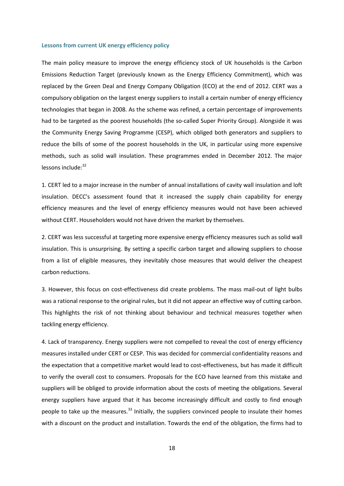#### **Lessons from current UK energy efficiency policy**

The main policy measure to improve the energy efficiency stock of UK households is the Carbon Emissions Reduction Target (previously known as the Energy Efficiency Commitment), which was replaced by the Green Deal and Energy Company Obligation (ECO) at the end of 2012. CERT was a compulsory obligation on the largest energy suppliers to install a certain number of energy efficiency technologies that began in 2008. As the scheme was refined, a certain percentage of improvements had to be targeted as the poorest households (the so-called Super Priority Group). Alongside it was the Community Energy Saving Programme (CESP), which obliged both generators and suppliers to reduce the bills of some of the poorest households in the UK, in particular using more expensive methods, such as solid wall insulation. These programmes ended in December 2012. The major lessons include: 32

1. CERT led to a major increase in the number of annual installations of cavity wall insulation and loft insulation. DECC's assessment found that it increased the supply chain capability for energy efficiency measures and the level of energy efficiency measures would not have been achieved without CERT. Householders would not have driven the market by themselves.

2. CERT was less successful at targeting more expensive energy efficiency measures such as solid wall insulation. This is unsurprising. By setting a specific carbon target and allowing suppliers to choose from a list of eligible measures, they inevitably chose measures that would deliver the cheapest carbon reductions.

3. However, this focus on cost-effectiveness did create problems. The mass mail-out of light bulbs was a rational response to the original rules, but it did not appear an effective way of cutting carbon. This highlights the risk of not thinking about behaviour and technical measures together when tackling energy efficiency.

4. Lack of transparency. Energy suppliers were not compelled to reveal the cost of energy efficiency measures installed under CERT or CESP. This was decided for commercial confidentiality reasons and the expectation that a competitive market would lead to cost-effectiveness, but has made it difficult to verify the overall cost to consumers. Proposals for the ECO have learned from this mistake and suppliers will be obliged to provide information about the costs of meeting the obligations. Several energy suppliers have argued that it has become increasingly difficult and costly to find enough people to take up the measures.<sup>33</sup> Initially, the suppliers convinced people to insulate their homes with a discount on the product and installation. Towards the end of the obligation, the firms had to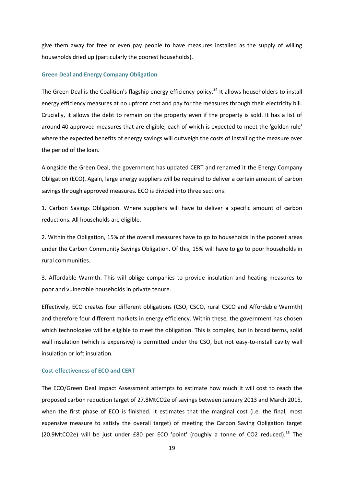give them away for free or even pay people to have measures installed as the supply of willing households dried up (particularly the poorest households).

#### **Green Deal and Energy Company Obligation**

The Green Deal is the Coalition's flagship energy efficiency policy.<sup>34</sup> It allows householders to install energy efficiency measures at no upfront cost and pay for the measures through their electricity bill. Crucially, it allows the debt to remain on the property even if the property is sold. It has a list of around 40 approved measures that are eligible, each of which is expected to meet the 'golden rule' where the expected benefits of energy savings will outweigh the costs of installing the measure over the period of the loan.

Alongside the Green Deal, the government has updated CERT and renamed it the Energy Company Obligation (ECO). Again, large energy suppliers will be required to deliver a certain amount of carbon savings through approved measures. ECO is divided into three sections:

1. Carbon Savings Obligation. Where suppliers will have to deliver a specific amount of carbon reductions. All households are eligible.

2. Within the Obligation, 15% of the overall measures have to go to households in the poorest areas under the Carbon Community Savings Obligation. Of this, 15% will have to go to poor households in rural communities.

3. Affordable Warmth. This will oblige companies to provide insulation and heating measures to poor and vulnerable households in private tenure.

Effectively, ECO creates four different obligations (CSO, CSCO, rural CSCO and Affordable Warmth) and therefore four different markets in energy efficiency. Within these, the government has chosen which technologies will be eligible to meet the obligation. This is complex, but in broad terms, solid wall insulation (which is expensive) is permitted under the CSO, but not easy-to-install cavity wall insulation or loft insulation.

#### **Cost-effectiveness of ECO and CERT**

The ECO/Green Deal Impact Assessment attempts to estimate how much it will cost to reach the proposed carbon reduction target of 27.8MtCO2e of savings between January 2013 and March 2015, when the first phase of ECO is finished. It estimates that the marginal cost (i.e. the final, most expensive measure to satisfy the overall target) of meeting the Carbon Saving Obligation target (20.9MtCO2e) will be just under £80 per ECO 'point' (roughly a tonne of CO2 reduced).<sup>35</sup> The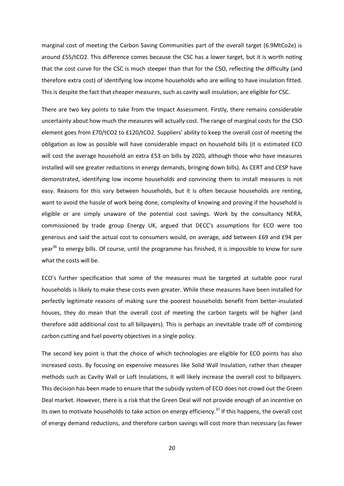marginal cost of meeting the Carbon Saving Communities part of the overall target (6.9MtCo2e) is around £55/tCO2. This difference comes because the CSC has a lower target, but it is worth noting that the cost curve for the CSC is much steeper than that for the CSO, reflecting the difficulty (and therefore extra cost) of identifying low income households who are willing to have insulation fitted. This is despite the fact that cheaper measures, such as cavity wall insulation, are eligible for CSC.

There are two key points to take from the Impact Assessment. Firstly, there remains considerable uncertainty about how much the measures will actually cost. The range of marginal costs for the CSO element goes from £70/tCO2 to £120/tCO2. Suppliers' ability to keep the overall cost of meeting the obligation as low as possible will have considerable impact on household bills (it is estimated ECO will cost the average household an extra £53 on bills by 2020, although those who have measures installed will see greater reductions in energy demands, bringing down bills). As CERT and CESP have demonstrated, identifying low income households and convincing them to install measures is not easy. Reasons for this vary between households, but it is often because households are renting, want to avoid the hassle of work being done, complexity of knowing and proving if the household is eligible or are simply unaware of the potential cost savings. Work by the consultancy NERA, commissioned by trade group Energy UK, argued that DECC's assumptions for ECO were too generous and said the actual cost to consumers would, on average, add between £69 and £94 per year<sup>36</sup> to energy bills. Of course, until the programme has finished, it is impossible to know for sure what the costs will be.

ECO's further specification that some of the measures must be targeted at suitable poor rural households is likely to make these costs even greater. While these measures have been installed for perfectly legitimate reasons of making sure the poorest households benefit from better-insulated houses, they do mean that the overall cost of meeting the carbon targets will be higher (and therefore add additional cost to all billpayers). This is perhaps an inevitable trade off of combining carbon cutting and fuel poverty objectives in a single policy.

The second key point is that the choice of which technologies are eligible for ECO points has also increased costs. By focusing on expensive measures like Solid Wall Insulation, rather than cheaper methods such as Cavity Wall or Loft Insulations, it will likely increase the overall cost to billpayers. This decision has been made to ensure that the subsidy system of ECO does not crowd out the Green Deal market. However, there is a risk that the Green Deal will not provide enough of an incentive on its own to motivate households to take action on energy efficiency.<sup>37</sup> If this happens, the overall cost of energy demand reductions, and therefore carbon savings will cost more than necessary (as fewer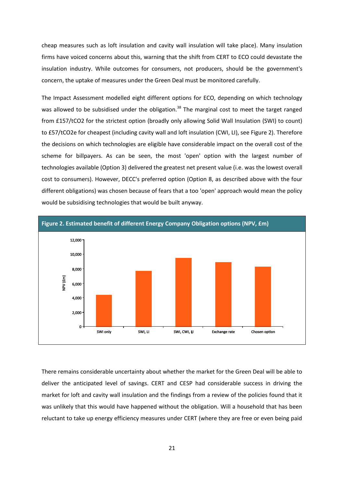cheap measures such as loft insulation and cavity wall insulation will take place). Many insulation firms have voiced concerns about this, warning that the shift from CERT to ECO could devastate the insulation industry. While outcomes for consumers, not producers, should be the government's concern, the uptake of measures under the Green Deal must be monitored carefully.

The Impact Assessment modelled eight different options for ECO, depending on which technology was allowed to be subsidised under the obligation.<sup>38</sup> The marginal cost to meet the target ranged from £157/tCO2 for the strictest option (broadly only allowing Solid Wall Insulation (SWI) to count) to £57/tCO2e for cheapest (including cavity wall and loft insulation (CWI, LI), see Figure 2). Therefore the decisions on which technologies are eligible have considerable impact on the overall cost of the scheme for billpayers. As can be seen, the most 'open' option with the largest number of technologies available (Option 3) delivered the greatest net present value (i.e. was the lowest overall cost to consumers). However, DECC's preferred option (Option 8, as described above with the four different obligations) was chosen because of fears that a too 'open' approach would mean the policy would be subsidising technologies that would be built anyway.



There remains considerable uncertainty about whether the market for the Green Deal will be able to deliver the anticipated level of savings. CERT and CESP had considerable success in driving the market for loft and cavity wall insulation and the findings from a review of the policies found that it was unlikely that this would have happened without the obligation. Will a household that has been reluctant to take up energy efficiency measures under CERT (where they are free or even being paid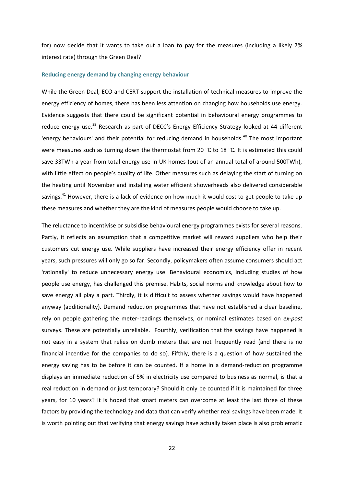for) now decide that it wants to take out a loan to pay for the measures (including a likely 7% interest rate) through the Green Deal?

#### **Reducing energy demand by changing energy behaviour**

While the Green Deal, ECO and CERT support the installation of technical measures to improve the energy efficiency of homes, there has been less attention on changing how households use energy. Evidence suggests that there could be significant potential in behavioural energy programmes to reduce energy use.<sup>39</sup> Research as part of DECC's Energy Efficiency Strategy looked at 44 different 'energy behaviours' and their potential for reducing demand in households. $40$  The most important were measures such as turning down the thermostat from 20 °C to 18 °C. It is estimated this could save 33TWh a year from total energy use in UK homes (out of an annual total of around 500TWh), with little effect on people's quality of life. Other measures such as delaying the start of turning on the heating until November and installing water efficient showerheads also delivered considerable savings.<sup>41</sup> However, there is a lack of evidence on how much it would cost to get people to take up these measures and whether they are the kind of measures people would choose to take up.

The reluctance to incentivise or subsidise behavioural energy programmes exists for several reasons. Partly, it reflects an assumption that a competitive market will reward suppliers who help their customers cut energy use. While suppliers have increased their energy efficiency offer in recent years, such pressures will only go so far. Secondly, policymakers often assume consumers should act 'rationally' to reduce unnecessary energy use. Behavioural economics, including studies of how people use energy, has challenged this premise. Habits, social norms and knowledge about how to save energy all play a part. Thirdly, it is difficult to assess whether savings would have happened anyway (additionality). Demand reduction programmes that have not established a clear baseline, rely on people gathering the meter-readings themselves, or nominal estimates based on *ex-post* surveys. These are potentially unreliable. Fourthly, verification that the savings have happened is not easy in a system that relies on dumb meters that are not frequently read (and there is no financial incentive for the companies to do so). Fifthly, there is a question of how sustained the energy saving has to be before it can be counted. If a home in a demand-reduction programme displays an immediate reduction of 5% in electricity use compared to business as normal, is that a real reduction in demand or just temporary? Should it only be counted if it is maintained for three years, for 10 years? It is hoped that smart meters can overcome at least the last three of these factors by providing the technology and data that can verify whether real savings have been made. It is worth pointing out that verifying that energy savings have actually taken place is also problematic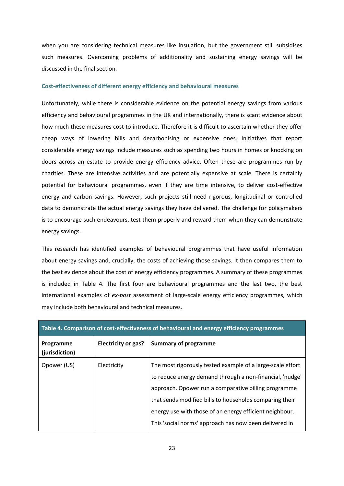when you are considering technical measures like insulation, but the government still subsidises such measures. Overcoming problems of additionality and sustaining energy savings will be discussed in the final section.

#### **Cost-effectiveness of different energy efficiency and behavioural measures**

Unfortunately, while there is considerable evidence on the potential energy savings from various efficiency and behavioural programmes in the UK and internationally, there is scant evidence about how much these measures cost to introduce. Therefore it is difficult to ascertain whether they offer cheap ways of lowering bills and decarbonising or expensive ones. Initiatives that report considerable energy savings include measures such as spending two hours in homes or knocking on doors across an estate to provide energy efficiency advice. Often these are programmes run by charities. These are intensive activities and are potentially expensive at scale. There is certainly potential for behavioural programmes, even if they are time intensive, to deliver cost-effective energy and carbon savings. However, such projects still need rigorous, longitudinal or controlled data to demonstrate the actual energy savings they have delivered. The challenge for policymakers is to encourage such endeavours, test them properly and reward them when they can demonstrate energy savings.

This research has identified examples of behavioural programmes that have useful information about energy savings and, crucially, the costs of achieving those savings. It then compares them to the best evidence about the cost of energy efficiency programmes. A summary of these programmes is included in Table 4. The first four are behavioural programmes and the last two, the best international examples of *ex-post* assessment of large-scale energy efficiency programmes, which may include both behavioural and technical measures.

| Table 4. Comparison of cost-effectiveness of behavioural and energy efficiency programmes |                            |                                                                                                                                                                                                                                                                                                                                                                |  |
|-------------------------------------------------------------------------------------------|----------------------------|----------------------------------------------------------------------------------------------------------------------------------------------------------------------------------------------------------------------------------------------------------------------------------------------------------------------------------------------------------------|--|
| Programme<br>(jurisdiction)                                                               | <b>Electricity or gas?</b> | <b>Summary of programme</b>                                                                                                                                                                                                                                                                                                                                    |  |
| Opower (US)                                                                               | Electricity                | The most rigorously tested example of a large-scale effort<br>to reduce energy demand through a non-financial, 'nudge'<br>approach. Opower run a comparative billing programme<br>that sends modified bills to households comparing their<br>energy use with those of an energy efficient neighbour.<br>This 'social norms' approach has now been delivered in |  |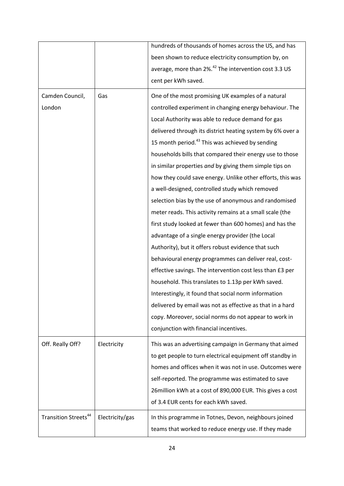|                                  |                 | hundreds of thousands of homes across the US, and has             |
|----------------------------------|-----------------|-------------------------------------------------------------------|
|                                  |                 | been shown to reduce electricity consumption by, on               |
|                                  |                 | average, more than 2%. <sup>42</sup> The intervention cost 3.3 US |
|                                  |                 | cent per kWh saved.                                               |
| Camden Council,                  | Gas             | One of the most promising UK examples of a natural                |
| London                           |                 | controlled experiment in changing energy behaviour. The           |
|                                  |                 | Local Authority was able to reduce demand for gas                 |
|                                  |                 | delivered through its district heating system by 6% over a        |
|                                  |                 |                                                                   |
|                                  |                 | 15 month period. <sup>43</sup> This was achieved by sending       |
|                                  |                 | households bills that compared their energy use to those          |
|                                  |                 | in similar properties and by giving them simple tips on           |
|                                  |                 | how they could save energy. Unlike other efforts, this was        |
|                                  |                 | a well-designed, controlled study which removed                   |
|                                  |                 | selection bias by the use of anonymous and randomised             |
|                                  |                 | meter reads. This activity remains at a small scale (the          |
|                                  |                 | first study looked at fewer than 600 homes) and has the           |
|                                  |                 | advantage of a single energy provider (the Local                  |
|                                  |                 | Authority), but it offers robust evidence that such               |
|                                  |                 | behavioural energy programmes can deliver real, cost-             |
|                                  |                 | effective savings. The intervention cost less than £3 per         |
|                                  |                 | household. This translates to 1.13p per kWh saved.                |
|                                  |                 | Interestingly, it found that social norm information              |
|                                  |                 | delivered by email was not as effective as that in a hard         |
|                                  |                 | copy. Moreover, social norms do not appear to work in             |
|                                  |                 | conjunction with financial incentives.                            |
|                                  |                 |                                                                   |
| Off. Really Off?                 | Electricity     | This was an advertising campaign in Germany that aimed            |
|                                  |                 | to get people to turn electrical equipment off standby in         |
|                                  |                 | homes and offices when it was not in use. Outcomes were           |
|                                  |                 | self-reported. The programme was estimated to save                |
|                                  |                 | 26 million kWh at a cost of 890,000 EUR. This gives a cost        |
|                                  |                 | of 3.4 EUR cents for each kWh saved.                              |
| Transition Streets <sup>44</sup> | Electricity/gas | In this programme in Totnes, Devon, neighbours joined             |
|                                  |                 | teams that worked to reduce energy use. If they made              |
|                                  |                 |                                                                   |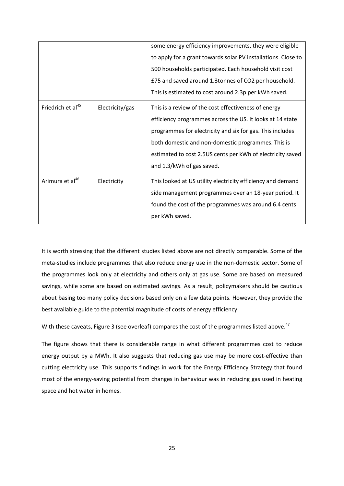|                               |                 | some energy efficiency improvements, they were eligible<br>to apply for a grant towards solar PV installations. Close to<br>500 households participated. Each household visit cost<br>£75 and saved around 1.3tonnes of CO2 per household.<br>This is estimated to cost around 2.3p per kWh saved.                              |
|-------------------------------|-----------------|---------------------------------------------------------------------------------------------------------------------------------------------------------------------------------------------------------------------------------------------------------------------------------------------------------------------------------|
| Friedrich et al <sup>45</sup> | Electricity/gas | This is a review of the cost effectiveness of energy<br>efficiency programmes across the US. It looks at 14 state<br>programmes for electricity and six for gas. This includes<br>both domestic and non-domestic programmes. This is<br>estimated to cost 2.5US cents per kWh of electricity saved<br>and 1.3/kWh of gas saved. |
| Arimura et al <sup>46</sup>   | Electricity     | This looked at US utility electricity efficiency and demand<br>side management programmes over an 18-year period. It<br>found the cost of the programmes was around 6.4 cents<br>per kWh saved.                                                                                                                                 |

It is worth stressing that the different studies listed above are not directly comparable. Some of the meta-studies include programmes that also reduce energy use in the non-domestic sector. Some of the programmes look only at electricity and others only at gas use. Some are based on measured savings, while some are based on estimated savings. As a result, policymakers should be cautious about basing too many policy decisions based only on a few data points. However, they provide the best available guide to the potential magnitude of costs of energy efficiency.

With these caveats, Figure 3 (see overleaf) compares the cost of the programmes listed above.<sup>47</sup>

The figure shows that there is considerable range in what different programmes cost to reduce energy output by a MWh. It also suggests that reducing gas use may be more cost-effective than cutting electricity use. This supports findings in work for the Energy Efficiency Strategy that found most of the energy-saving potential from changes in behaviour was in reducing gas used in heating space and hot water in homes.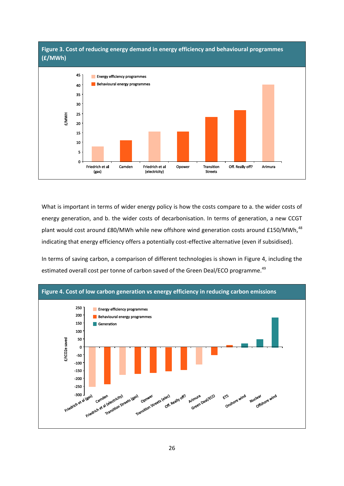

What is important in terms of wider energy policy is how the costs compare to a. the wider costs of energy generation, and b. the wider costs of decarbonisation. In terms of generation, a new CCGT plant would cost around £80/MWh while new offshore wind generation costs around £150/MWh,<sup>48</sup> indicating that energy efficiency offers a potentially cost-effective alternative (even if subsidised).

In terms of saving carbon, a comparison of different technologies is shown in Figure 4, including the estimated overall cost per tonne of carbon saved of the Green Deal/ECO programme.<sup>49</sup>

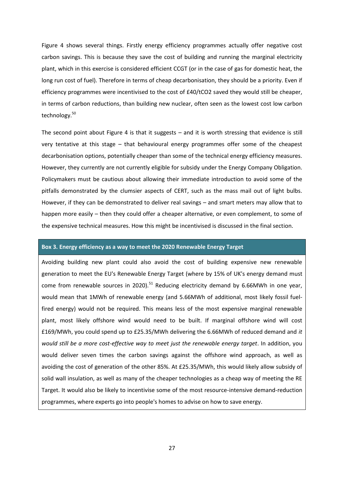Figure 4 shows several things. Firstly energy efficiency programmes actually offer negative cost carbon savings. This is because they save the cost of building and running the marginal electricity plant, which in this exercise is considered efficient CCGT (or in the case of gas for domestic heat, the long run cost of fuel). Therefore in terms of cheap decarbonisation, they should be a priority. Even if efficiency programmes were incentivised to the cost of £40/tCO2 saved they would still be cheaper, in terms of carbon reductions, than building new nuclear, often seen as the lowest cost low carbon technology.<sup>50</sup>

The second point about Figure 4 is that it suggests – and it is worth stressing that evidence is still very tentative at this stage – that behavioural energy programmes offer some of the cheapest decarbonisation options, potentially cheaper than some of the technical energy efficiency measures. However, they currently are not currently eligible for subsidy under the Energy Company Obligation. Policymakers must be cautious about allowing their immediate introduction to avoid some of the pitfalls demonstrated by the clumsier aspects of CERT, such as the mass mail out of light bulbs. However, if they can be demonstrated to deliver real savings – and smart meters may allow that to happen more easily – then they could offer a cheaper alternative, or even complement, to some of the expensive technical measures. How this might be incentivised is discussed in the final section.

#### **Box 3. Energy efficiency as a way to meet the 2020 Renewable Energy Target**

Avoiding building new plant could also avoid the cost of building expensive new renewable generation to meet the EU's Renewable Energy Target (where by 15% of UK's energy demand must come from renewable sources in 2020).<sup>51</sup> Reducing electricity demand by 6.66MWh in one year, would mean that 1MWh of renewable energy (and 5.66MWh of additional, most likely fossil fuelfired energy) would not be required. This means less of the most expensive marginal renewable plant, most likely offshore wind would need to be built. If marginal offshore wind will cost £169/MWh, you could spend up to £25.35/MWh delivering the 6.66MWh of reduced demand and *it would still be a more cost-effective way to meet just the renewable energy target*. In addition, you would deliver seven times the carbon savings against the offshore wind approach, as well as avoiding the cost of generation of the other 85%. At £25.35/MWh, this would likely allow subsidy of solid wall insulation, as well as many of the cheaper technologies as a cheap way of meeting the RE Target. It would also be likely to incentivise some of the most resource-intensive demand-reduction programmes, where experts go into people's homes to advise on how to save energy.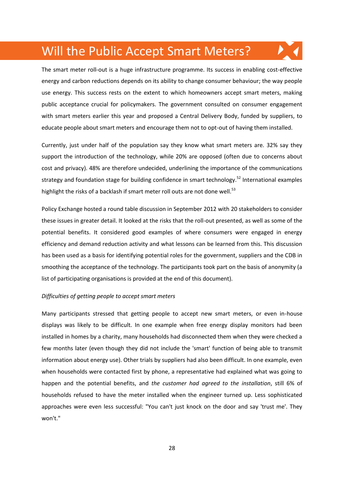### Will the Public Accept Smart Meters?

The smart meter roll-out is a huge infrastructure programme. Its success in enabling cost-effective energy and carbon reductions depends on its ability to change consumer behaviour; the way people use energy. This success rests on the extent to which homeowners accept smart meters, making public acceptance crucial for policymakers. The government consulted on consumer engagement with smart meters earlier this year and proposed a Central Delivery Body, funded by suppliers, to educate people about smart meters and encourage them not to opt-out of having them installed.

Currently, just under half of the population say they know what smart meters are. 32% say they support the introduction of the technology, while 20% are opposed (often due to concerns about cost and privacy). 48% are therefore undecided, underlining the importance of the communications strategy and foundation stage for building confidence in smart technology.<sup>52</sup> International examples highlight the risks of a backlash if smart meter roll outs are not done well.<sup>53</sup>

Policy Exchange hosted a round table discussion in September 2012 with 20 stakeholders to consider these issues in greater detail. It looked at the risks that the roll-out presented, as well as some of the potential benefits. It considered good examples of where consumers were engaged in energy efficiency and demand reduction activity and what lessons can be learned from this. This discussion has been used as a basis for identifying potential roles for the government, suppliers and the CDB in smoothing the acceptance of the technology. The participants took part on the basis of anonymity (a list of participating organisations is provided at the end of this document).

#### *Difficulties of getting people to accept smart meters*

Many participants stressed that getting people to accept new smart meters, or even in-house displays was likely to be difficult. In one example when free energy display monitors had been installed in homes by a charity, many households had disconnected them when they were checked a few months later (even though they did not include the 'smart' function of being able to transmit information about energy use). Other trials by suppliers had also been difficult. In one example, even when households were contacted first by phone, a representative had explained what was going to happen and the potential benefits, and *the customer had agreed to the installation*, still 6% of households refused to have the meter installed when the engineer turned up. Less sophisticated approaches were even less successful: "You can't just knock on the door and say 'trust me'. They won't."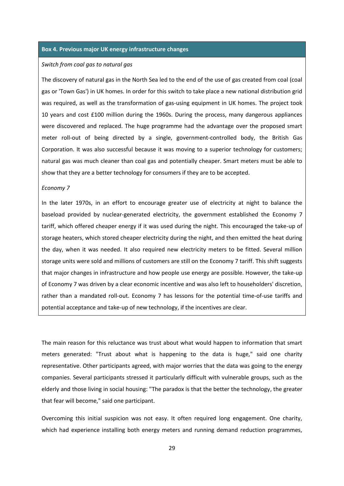#### **Box 4. Previous major UK energy infrastructure changes**

#### *Switch from coal gas to natural gas*

The discovery of natural gas in the North Sea led to the end of the use of gas created from coal (coal gas or 'Town Gas') in UK homes. In order for this switch to take place a new national distribution grid was required, as well as the transformation of gas-using equipment in UK homes. The project took 10 years and cost £100 million during the 1960s. During the process, many dangerous appliances were discovered and replaced. The huge programme had the advantage over the proposed smart meter roll-out of being directed by a single, government-controlled body, the British Gas Corporation. It was also successful because it was moving to a superior technology for customers; natural gas was much cleaner than coal gas and potentially cheaper. Smart meters must be able to show that they are a better technology for consumers if they are to be accepted.

#### *Economy 7*

In the later 1970s, in an effort to encourage greater use of electricity at night to balance the baseload provided by nuclear-generated electricity, the government established the Economy 7 tariff, which offered cheaper energy if it was used during the night. This encouraged the take-up of storage heaters, which stored cheaper electricity during the night, and then emitted the heat during the day, when it was needed. It also required new electricity meters to be fitted. Several million storage units were sold and millions of customers are still on the Economy 7 tariff. This shift suggests that major changes in infrastructure and how people use energy are possible. However, the take-up of Economy 7 was driven by a clear economic incentive and was also left to householders' discretion, rather than a mandated roll-out. Economy 7 has lessons for the potential time-of-use tariffs and potential acceptance and take-up of new technology, if the incentives are clear.

The main reason for this reluctance was trust about what would happen to information that smart meters generated: "Trust about what is happening to the data is huge," said one charity representative. Other participants agreed, with major worries that the data was going to the energy companies. Several participants stressed it particularly difficult with vulnerable groups, such as the elderly and those living in social housing: "The paradox is that the better the technology, the greater that fear will become," said one participant.

Overcoming this initial suspicion was not easy. It often required long engagement. One charity, which had experience installing both energy meters and running demand reduction programmes,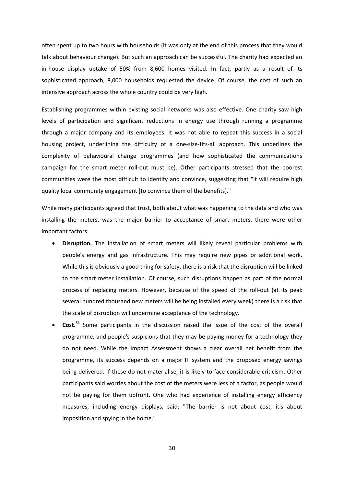often spent up to two hours with households (it was only at the end of this process that they would talk about behaviour change). But such an approach can be successful. The charity had expected an in-house display uptake of 50% from 8,600 homes visited. In fact, partly as a result of its sophisticated approach, 8,000 households requested the device. Of course, the cost of such an intensive approach across the whole country could be very high.

Establishing programmes within existing social networks was also effective. One charity saw high levels of participation and significant reductions in energy use through running a programme through a major company and its employees. It was not able to repeat this success in a social housing project, underlining the difficulty of a one-size-fits-all approach. This underlines the complexity of behavioural change programmes (and how sophisticated the communications campaign for the smart meter roll-out must be). Other participants stressed that the poorest communities were the most difficult to identify and convince, suggesting that "it will require high quality local community engagement [to convince them of the benefits]."

While many participants agreed that trust, both about what was happening to the data and who was installing the meters, was the major barrier to acceptance of smart meters, there were other important factors:

- **Disruption.** The installation of smart meters will likely reveal particular problems with people's energy and gas infrastructure. This may require new pipes or additional work. While this is obviously a good thing for safety, there is a risk that the disruption will be linked to the smart meter installation. Of course, such disruptions happen as part of the normal process of replacing meters. However, because of the speed of the roll-out (at its peak several hundred thousand new meters will be being installed every week) there is a risk that the scale of disruption will undermine acceptance of the technology.
- **Cost.**<sup>54</sup> Some participants in the discussion raised the issue of the cost of the overall programme, and people's suspicions that they may be paying money for a technology they do not need. While the Impact Assessment shows a clear overall net benefit from the programme, its success depends on a major IT system and the proposed energy savings being delivered. If these do not materialise, it is likely to face considerable criticism. Other participants said worries about the cost of the meters were less of a factor, as people would not be paying for them upfront. One who had experience of installing energy efficiency measures, including energy displays, said: "The barrier is not about cost, it's about imposition and spying in the home."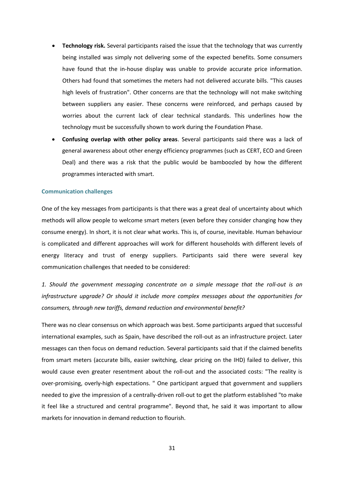- **Technology risk.** Several participants raised the issue that the technology that was currently being installed was simply not delivering some of the expected benefits. Some consumers have found that the in-house display was unable to provide accurate price information. Others had found that sometimes the meters had not delivered accurate bills. "This causes high levels of frustration". Other concerns are that the technology will not make switching between suppliers any easier. These concerns were reinforced, and perhaps caused by worries about the current lack of clear technical standards. This underlines how the technology must be successfully shown to work during the Foundation Phase.
- **Confusing overlap with other policy areas**. Several participants said there was a lack of general awareness about other energy efficiency programmes (such as CERT, ECO and Green Deal) and there was a risk that the public would be bamboozled by how the different programmes interacted with smart.

#### **Communication challenges**

One of the key messages from participants is that there was a great deal of uncertainty about which methods will allow people to welcome smart meters (even before they consider changing how they consume energy). In short, it is not clear what works. This is, of course, inevitable. Human behaviour is complicated and different approaches will work for different households with different levels of energy literacy and trust of energy suppliers. Participants said there were several key communication challenges that needed to be considered:

*1. Should the government messaging concentrate on a simple message that the roll-out is an infrastructure upgrade? Or should it include more complex messages about the opportunities for consumers, through new tariffs, demand reduction and environmental benefit?*

There was no clear consensus on which approach was best. Some participants argued that successful international examples, such as Spain, have described the roll-out as an infrastructure project. Later messages can then focus on demand reduction. Several participants said that if the claimed benefits from smart meters (accurate bills, easier switching, clear pricing on the IHD) failed to deliver, this would cause even greater resentment about the roll-out and the associated costs: "The reality is over-promising, overly-high expectations. " One participant argued that government and suppliers needed to give the impression of a centrally-driven roll-out to get the platform established "to make it feel like a structured and central programme". Beyond that, he said it was important to allow markets for innovation in demand reduction to flourish.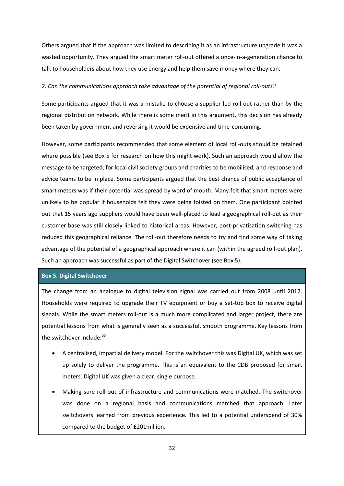Others argued that if the approach was limited to describing it as an infrastructure upgrade it was a wasted opportunity. They argued the smart meter roll-out offered a once-in-a-generation chance to talk to householders about how they use energy and help them save money where they can.

#### *2. Can the communications approach take advantage of the potential of regional roll-outs?*

Some participants argued that it was a mistake to choose a supplier-led roll-out rather than by the regional distribution network. While there is some merit in this argument, this decision has already been taken by government and reversing it would be expensive and time-consuming.

However, some participants recommended that some element of local roll-outs should be retained where possible (see Box 5 for research on how this might work). Such an approach would allow the message to be targeted, for local civil society groups and charities to be mobilised, and response and advice teams to be in place. Some participants argued that the best chance of public acceptance of smart meters was if their potential was spread by word of mouth. Many felt that smart meters were unlikely to be popular if households felt they were being foisted on them. One participant pointed out that 15 years ago suppliers would have been well-placed to lead a geographical roll-out as their customer base was still closely linked to historical areas. However, post-privatisation switching has reduced this geographical reliance. The roll-out therefore needs to try and find some way of taking advantage of the potential of a geographical approach where it can (within the agreed roll-out plan). Such an approach was successful as part of the Digital Switchover (see Box 5).

#### **Box 5. Digital Switchover**

The change from an analogue to digital television signal was carried out from 2008 until 2012. Households were required to upgrade their TV equipment or buy a set-top box to receive digital signals. While the smart meters roll-out is a much more complicated and larger project, there are potential lessons from what is generally seen as a successful, smooth programme. Key lessons from the switchover include:<sup>55</sup>

- A centralised, impartial delivery model. For the switchover this was Digital UK, which was set up solely to deliver the programme. This is an equivalent to the CDB proposed for smart meters. Digital UK was given a clear, single purpose.
- Making sure roll-out of infrastructure and communications were matched. The switchover was done on a regional basis and communications matched that approach. Later switchovers learned from previous experience. This led to a potential underspend of 30% compared to the budget of £201million.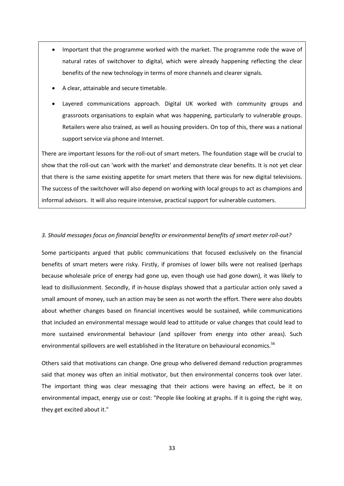- Important that the programme worked with the market. The programme rode the wave of natural rates of switchover to digital, which were already happening reflecting the clear benefits of the new technology in terms of more channels and clearer signals.
- A clear, attainable and secure timetable.
- Layered communications approach. Digital UK worked with community groups and grassroots organisations to explain what was happening, particularly to vulnerable groups. Retailers were also trained, as well as housing providers. On top of this, there was a national support service via phone and Internet.

There are important lessons for the roll-out of smart meters. The foundation stage will be crucial to show that the roll-out can 'work with the market' and demonstrate clear benefits. It is not yet clear that there is the same existing appetite for smart meters that there was for new digital televisions. The success of the switchover will also depend on working with local groups to act as champions and informal advisors. It will also require intensive, practical support for vulnerable customers.

#### *3. Should messages focus on financial benefits or environmental benefits of smart meter roll-out?*

Some participants argued that public communications that focused exclusively on the financial benefits of smart meters were risky. Firstly, if promises of lower bills were not realised (perhaps because wholesale price of energy had gone up, even though use had gone down), it was likely to lead to disillusionment. Secondly, if in-house displays showed that a particular action only saved a small amount of money, such an action may be seen as not worth the effort. There were also doubts about whether changes based on financial incentives would be sustained, while communications that included an environmental message would lead to attitude or value changes that could lead to more sustained environmental behaviour (and spillover from energy into other areas). Such environmental spillovers are well established in the literature on behavioural economics.<sup>56</sup>

Others said that motivations can change. One group who delivered demand reduction programmes said that money was often an initial motivator, but then environmental concerns took over later. The important thing was clear messaging that their actions were having an effect, be it on environmental impact, energy use or cost: "People like looking at graphs. If it is going the right way, they get excited about it."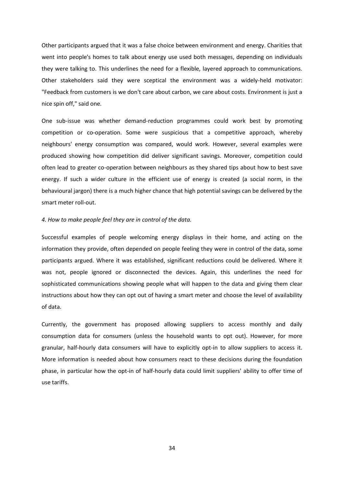Other participants argued that it was a false choice between environment and energy. Charities that went into people's homes to talk about energy use used both messages, depending on individuals they were talking to. This underlines the need for a flexible, layered approach to communications. Other stakeholders said they were sceptical the environment was a widely-held motivator: "Feedback from customers is we don't care about carbon, we care about costs. Environment is just a nice spin off," said one.

One sub-issue was whether demand-reduction programmes could work best by promoting competition or co-operation. Some were suspicious that a competitive approach, whereby neighbours' energy consumption was compared, would work. However, several examples were produced showing how competition did deliver significant savings. Moreover, competition could often lead to greater co-operation between neighbours as they shared tips about how to best save energy. If such a wider culture in the efficient use of energy is created (a social norm, in the behavioural jargon) there is a much higher chance that high potential savings can be delivered by the smart meter roll-out.

#### *4. How to make people feel they are in control of the data.*

Successful examples of people welcoming energy displays in their home, and acting on the information they provide, often depended on people feeling they were in control of the data, some participants argued. Where it was established, significant reductions could be delivered. Where it was not, people ignored or disconnected the devices. Again, this underlines the need for sophisticated communications showing people what will happen to the data and giving them clear instructions about how they can opt out of having a smart meter and choose the level of availability of data.

Currently, the government has proposed allowing suppliers to access monthly and daily consumption data for consumers (unless the household wants to opt out). However, for more granular, half-hourly data consumers will have to explicitly opt-in to allow suppliers to access it. More information is needed about how consumers react to these decisions during the foundation phase, in particular how the opt-in of half-hourly data could limit suppliers' ability to offer time of use tariffs.

34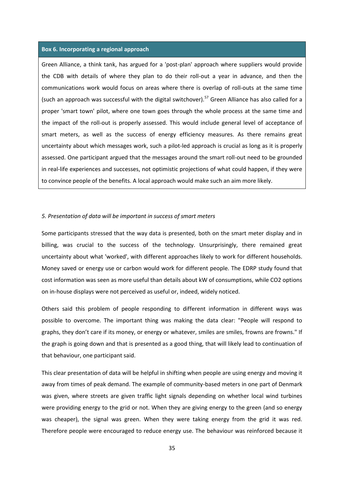#### **Box 6. Incorporating a regional approach**

Green Alliance, a think tank, has argued for a 'post-plan' approach where suppliers would provide the CDB with details of where they plan to do their roll-out a year in advance, and then the communications work would focus on areas where there is overlap of roll-outs at the same time (such an approach was successful with the digital switchover).<sup>57</sup> Green Alliance has also called for a proper 'smart town' pilot, where one town goes through the whole process at the same time and the impact of the roll-out is properly assessed. This would include general level of acceptance of smart meters, as well as the success of energy efficiency measures. As there remains great uncertainty about which messages work, such a pilot-led approach is crucial as long as it is properly assessed. One participant argued that the messages around the smart roll-out need to be grounded in real-life experiences and successes, not optimistic projections of what could happen, if they were to convince people of the benefits. A local approach would make such an aim more likely.

#### *5. Presentation of data will be important in success of smart meters*

Some participants stressed that the way data is presented, both on the smart meter display and in billing, was crucial to the success of the technology. Unsurprisingly, there remained great uncertainty about what 'worked', with different approaches likely to work for different households. Money saved or energy use or carbon would work for different people. The EDRP study found that cost information was seen as more useful than details about kW of consumptions, while CO2 options on in-house displays were not perceived as useful or, indeed, widely noticed.

Others said this problem of people responding to different information in different ways was possible to overcome. The important thing was making the data clear: "People will respond to graphs, they don't care if its money, or energy or whatever, smiles are smiles, frowns are frowns." If the graph is going down and that is presented as a good thing, that will likely lead to continuation of that behaviour, one participant said.

This clear presentation of data will be helpful in shifting when people are using energy and moving it away from times of peak demand. The example of community-based meters in one part of Denmark was given, where streets are given traffic light signals depending on whether local wind turbines were providing energy to the grid or not. When they are giving energy to the green (and so energy was cheaper), the signal was green. When they were taking energy from the grid it was red. Therefore people were encouraged to reduce energy use. The behaviour was reinforced because it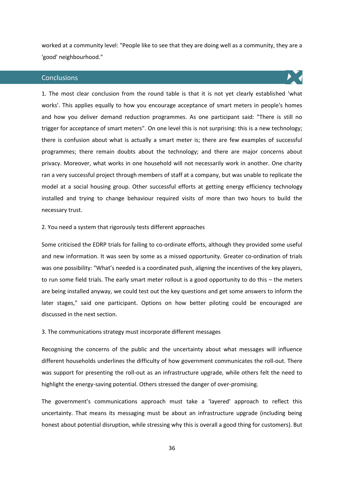worked at a community level: "People like to see that they are doing well as a community, they are a 'good' neighbourhood."

#### **Conclusions**



1. The most clear conclusion from the round table is that it is not yet clearly established 'what works'. This applies equally to how you encourage acceptance of smart meters in people's homes and how you deliver demand reduction programmes. As one participant said: "There is still no trigger for acceptance of smart meters". On one level this is not surprising: this is a new technology; there is confusion about what is actually a smart meter is; there are few examples of successful programmes; there remain doubts about the technology; and there are major concerns about privacy. Moreover, what works in one household will not necessarily work in another. One charity ran a very successful project through members of staff at a company, but was unable to replicate the model at a social housing group. Other successful efforts at getting energy efficiency technology installed and trying to change behaviour required visits of more than two hours to build the necessary trust.

#### 2. You need a system that rigorously tests different approaches

Some criticised the EDRP trials for failing to co-ordinate efforts, although they provided some useful and new information. It was seen by some as a missed opportunity. Greater co-ordination of trials was one possibility: "What's needed is a coordinated push, aligning the incentives of the key players, to run some field trials. The early smart meter rollout is a good opportunity to do this – the meters are being installed anyway, we could test out the key questions and get some answers to inform the later stages," said one participant. Options on how better piloting could be encouraged are discussed in the next section.

#### 3. The communications strategy must incorporate different messages

Recognising the concerns of the public and the uncertainty about what messages will influence different households underlines the difficulty of how government communicates the roll-out. There was support for presenting the roll-out as an infrastructure upgrade, while others felt the need to highlight the energy-saving potential. Others stressed the danger of over-promising.

The government's communications approach must take a 'layered' approach to reflect this uncertainty. That means its messaging must be about an infrastructure upgrade (including being honest about potential disruption, while stressing why this is overall a good thing for customers). But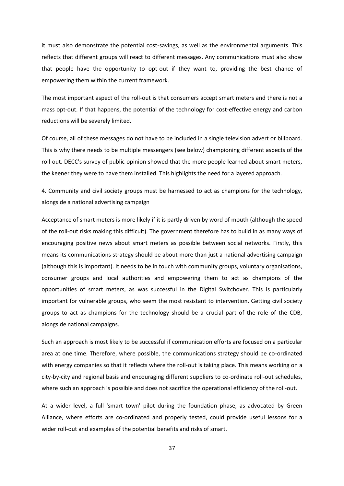it must also demonstrate the potential cost-savings, as well as the environmental arguments. This reflects that different groups will react to different messages. Any communications must also show that people have the opportunity to opt-out if they want to, providing the best chance of empowering them within the current framework.

The most important aspect of the roll-out is that consumers accept smart meters and there is not a mass opt-out. If that happens, the potential of the technology for cost-effective energy and carbon reductions will be severely limited.

Of course, all of these messages do not have to be included in a single television advert or billboard. This is why there needs to be multiple messengers (see below) championing different aspects of the roll-out. DECC's survey of public opinion showed that the more people learned about smart meters, the keener they were to have them installed. This highlights the need for a layered approach.

4. Community and civil society groups must be harnessed to act as champions for the technology, alongside a national advertising campaign

Acceptance of smart meters is more likely if it is partly driven by word of mouth (although the speed of the roll-out risks making this difficult). The government therefore has to build in as many ways of encouraging positive news about smart meters as possible between social networks. Firstly, this means its communications strategy should be about more than just a national advertising campaign (although this is important). It needs to be in touch with community groups, voluntary organisations, consumer groups and local authorities and empowering them to act as champions of the opportunities of smart meters, as was successful in the Digital Switchover. This is particularly important for vulnerable groups, who seem the most resistant to intervention. Getting civil society groups to act as champions for the technology should be a crucial part of the role of the CDB, alongside national campaigns.

Such an approach is most likely to be successful if communication efforts are focused on a particular area at one time. Therefore, where possible, the communications strategy should be co-ordinated with energy companies so that it reflects where the roll-out is taking place. This means working on a city-by-city and regional basis and encouraging different suppliers to co-ordinate roll-out schedules, where such an approach is possible and does not sacrifice the operational efficiency of the roll-out.

At a wider level, a full 'smart town' pilot during the foundation phase, as advocated by Green Alliance, where efforts are co-ordinated and properly tested, could provide useful lessons for a wider roll-out and examples of the potential benefits and risks of smart.

37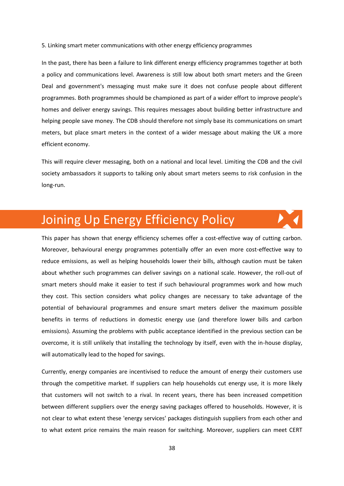5. Linking smart meter communications with other energy efficiency programmes

In the past, there has been a failure to link different energy efficiency programmes together at both a policy and communications level. Awareness is still low about both smart meters and the Green Deal and government's messaging must make sure it does not confuse people about different programmes. Both programmes should be championed as part of a wider effort to improve people's homes and deliver energy savings. This requires messages about building better infrastructure and helping people save money. The CDB should therefore not simply base its communications on smart meters, but place smart meters in the context of a wider message about making the UK a more efficient economy.

This will require clever messaging, both on a national and local level. Limiting the CDB and the civil society ambassadors it supports to talking only about smart meters seems to risk confusion in the long-run.

### Joining Up Energy Efficiency Policy

This paper has shown that energy efficiency schemes offer a cost-effective way of cutting carbon. Moreover, behavioural energy programmes potentially offer an even more cost-effective way to reduce emissions, as well as helping households lower their bills, although caution must be taken about whether such programmes can deliver savings on a national scale. However, the roll-out of smart meters should make it easier to test if such behavioural programmes work and how much they cost. This section considers what policy changes are necessary to take advantage of the potential of behavioural programmes and ensure smart meters deliver the maximum possible benefits in terms of reductions in domestic energy use (and therefore lower bills and carbon emissions). Assuming the problems with public acceptance identified in the previous section can be overcome, it is still unlikely that installing the technology by itself, even with the in-house display, will automatically lead to the hoped for savings.

Currently, energy companies are incentivised to reduce the amount of energy their customers use through the competitive market. If suppliers can help households cut energy use, it is more likely that customers will not switch to a rival. In recent years, there has been increased competition between different suppliers over the energy saving packages offered to households. However, it is not clear to what extent these 'energy services' packages distinguish suppliers from each other and to what extent price remains the main reason for switching. Moreover, suppliers can meet CERT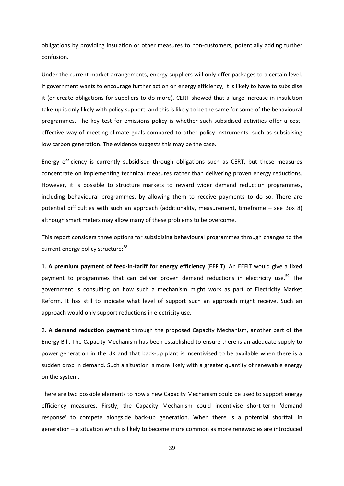obligations by providing insulation or other measures to non-customers, potentially adding further confusion.

Under the current market arrangements, energy suppliers will only offer packages to a certain level. If government wants to encourage further action on energy efficiency, it is likely to have to subsidise it (or create obligations for suppliers to do more). CERT showed that a large increase in insulation take-up is only likely with policy support, and this is likely to be the same for some of the behavioural programmes. The key test for emissions policy is whether such subsidised activities offer a costeffective way of meeting climate goals compared to other policy instruments, such as subsidising low carbon generation. The evidence suggests this may be the case.

Energy efficiency is currently subsidised through obligations such as CERT, but these measures concentrate on implementing technical measures rather than delivering proven energy reductions. However, it is possible to structure markets to reward wider demand reduction programmes, including behavioural programmes, by allowing them to receive payments to do so. There are potential difficulties with such an approach (additionality, measurement, timeframe – see Box 8) although smart meters may allow many of these problems to be overcome.

This report considers three options for subsidising behavioural programmes through changes to the current energy policy structure:<sup>58</sup>

1. **A premium payment of feed-in-tariff for energy efficiency (EEFIT)**. An EEFIT would give a fixed payment to programmes that can deliver proven demand reductions in electricity use.<sup>59</sup> The government is consulting on how such a mechanism might work as part of Electricity Market Reform. It has still to indicate what level of support such an approach might receive. Such an approach would only support reductions in electricity use.

2. **A demand reduction payment** through the proposed Capacity Mechanism, another part of the Energy Bill. The Capacity Mechanism has been established to ensure there is an adequate supply to power generation in the UK and that back-up plant is incentivised to be available when there is a sudden drop in demand. Such a situation is more likely with a greater quantity of renewable energy on the system.

There are two possible elements to how a new Capacity Mechanism could be used to support energy efficiency measures. Firstly, the Capacity Mechanism could incentivise short-term 'demand response' to compete alongside back-up generation. When there is a potential shortfall in generation – a situation which is likely to become more common as more renewables are introduced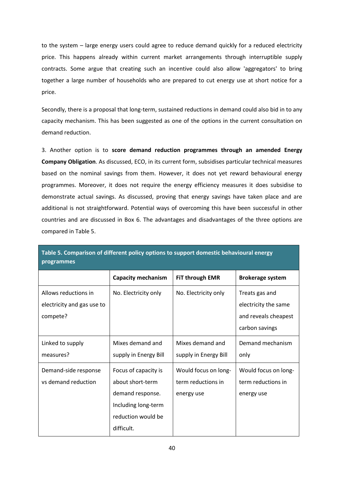to the system – large energy users could agree to reduce demand quickly for a reduced electricity price. This happens already within current market arrangements through interruptible supply contracts. Some argue that creating such an incentive could also allow 'aggregators' to bring together a large number of households who are prepared to cut energy use at short notice for a price.

Secondly, there is a proposal that long-term, sustained reductions in demand could also bid in to any capacity mechanism. This has been suggested as one of the options in the current consultation on demand reduction.

3. Another option is to **score demand reduction programmes through an amended Energy Company Obligation**. As discussed, ECO, in its current form, subsidises particular technical measures based on the nominal savings from them. However, it does not yet reward behavioural energy programmes. Moreover, it does not require the energy efficiency measures it does subsidise to demonstrate actual savings. As discussed, proving that energy savings have taken place and are additional is not straightforward. Potential ways of overcoming this have been successful in other countries and are discussed in Box 6. The advantages and disadvantages of the three options are compared in Table 5.

|                            | <b>Capacity mechanism</b> | FiT through EMR       | <b>Brokerage system</b> |
|----------------------------|---------------------------|-----------------------|-------------------------|
| Allows reductions in       | No. Electricity only      | No. Electricity only  | Treats gas and          |
| electricity and gas use to |                           |                       | electricity the same    |
| compete?                   |                           |                       | and reveals cheapest    |
|                            |                           |                       | carbon savings          |
| Linked to supply           | Mixes demand and          | Mixes demand and      | Demand mechanism        |
| measures?                  | supply in Energy Bill     | supply in Energy Bill | only                    |
| Demand-side response       | Focus of capacity is      | Would focus on long-  | Would focus on long-    |
| vs demand reduction        | about short-term          | term reductions in    | term reductions in      |
|                            | demand response.          | energy use            | energy use              |
|                            | Including long-term       |                       |                         |
|                            | reduction would be        |                       |                         |
|                            | difficult.                |                       |                         |

**Table 5. Comparison of different policy options to support domestic behavioural energy programmes**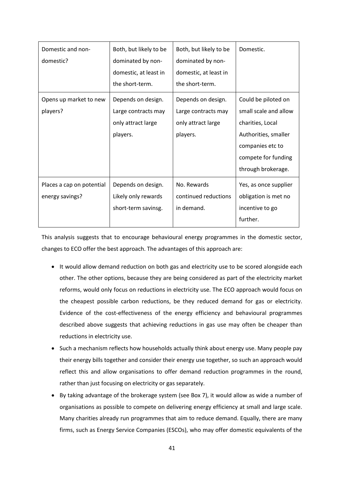| Domestic and non-<br>domestic?               | Both, but likely to be<br>dominated by non-<br>domestic, at least in<br>the short-term. | Both, but likely to be<br>dominated by non-<br>domestic, at least in<br>the short-term. | Domestic.                                                                                                                                                 |
|----------------------------------------------|-----------------------------------------------------------------------------------------|-----------------------------------------------------------------------------------------|-----------------------------------------------------------------------------------------------------------------------------------------------------------|
| Opens up market to new<br>players?           | Depends on design.<br>Large contracts may<br>only attract large<br>players.             | Depends on design.<br>Large contracts may<br>only attract large<br>players.             | Could be piloted on<br>small scale and allow<br>charities, Local<br>Authorities, smaller<br>companies etc to<br>compete for funding<br>through brokerage. |
| Places a cap on potential<br>energy savings? | Depends on design.<br>Likely only rewards<br>short-term savinsg.                        | No. Rewards<br>continued reductions<br>in demand.                                       | Yes, as once supplier<br>obligation is met no<br>incentive to go<br>further.                                                                              |

This analysis suggests that to encourage behavioural energy programmes in the domestic sector, changes to ECO offer the best approach. The advantages of this approach are:

- It would allow demand reduction on both gas and electricity use to be scored alongside each other. The other options, because they are being considered as part of the electricity market reforms, would only focus on reductions in electricity use. The ECO approach would focus on the cheapest possible carbon reductions, be they reduced demand for gas or electricity. Evidence of the cost-effectiveness of the energy efficiency and behavioural programmes described above suggests that achieving reductions in gas use may often be cheaper than reductions in electricity use.
- Such a mechanism reflects how households actually think about energy use. Many people pay their energy bills together and consider their energy use together, so such an approach would reflect this and allow organisations to offer demand reduction programmes in the round, rather than just focusing on electricity or gas separately.
- By taking advantage of the brokerage system (see Box 7), it would allow as wide a number of organisations as possible to compete on delivering energy efficiency at small and large scale. Many charities already run programmes that aim to reduce demand. Equally, there are many firms, such as Energy Service Companies (ESCOs), who may offer domestic equivalents of the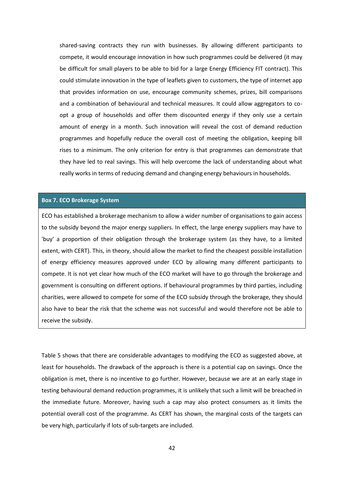shared-saving contracts they run with businesses. By allowing different participants to compete, it would encourage innovation in how such programmes could be delivered (it may be difficult for small players to be able to bid for a large Energy Efficiency FIT contract). This could stimulate innovation in the type of leaflets given to customers, the type of internet app that provides information on use, encourage community schemes, prizes, bill comparisons and a combination of behavioural and technical measures. It could allow aggregators to coopt a group of households and offer them discounted energy if they only use a certain amount of energy in a month. Such innovation will reveal the cost of demand reduction programmes and hopefully reduce the overall cost of meeting the obligation, keeping bill rises to a minimum. The only criterion for entry is that programmes can demonstrate that they have led to real savings. This will help overcome the lack of understanding about what really works in terms of reducing demand and changing energy behaviours in households.

#### **Box 7. ECO Brokerage System**

ECO has established a brokerage mechanism to allow a wider number of organisations to gain access to the subsidy beyond the major energy suppliers. In effect, the large energy suppliers may have to 'buy' a proportion of their obligation through the brokerage system (as they have, to a limited extent, with CERT). This, in theory, should allow the market to find the cheapest possible installation of energy efficiency measures approved under ECO by allowing many different participants to compete. It is not yet clear how much of the ECO market will have to go through the brokerage and government is consulting on different options. If behavioural programmes by third parties, including charities, were allowed to compete for some of the ECO subsidy through the brokerage, they should also have to bear the risk that the scheme was not successful and would therefore not be able to receive the subsidy.

Table 5 shows that there are considerable advantages to modifying the ECO as suggested above, at least for households. The drawback of the approach is there is a potential cap on savings. Once the obligation is met, there is no incentive to go further. However, because we are at an early stage in testing behavioural demand reduction programmes, it is unlikely that such a limit will be breached in the immediate future. Moreover, having such a cap may also protect consumers as it limits the potential overall cost of the programme. As CERT has shown, the marginal costs of the targets can be very high, particularly if lots of sub-targets are included.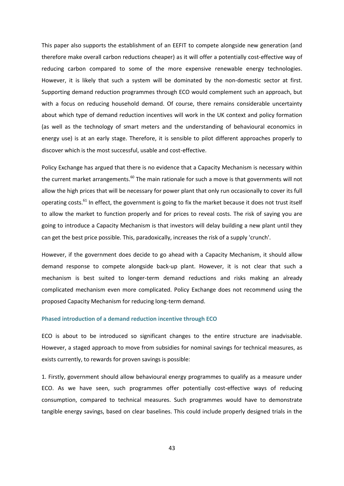This paper also supports the establishment of an EEFIT to compete alongside new generation (and therefore make overall carbon reductions cheaper) as it will offer a potentially cost-effective way of reducing carbon compared to some of the more expensive renewable energy technologies. However, it is likely that such a system will be dominated by the non-domestic sector at first. Supporting demand reduction programmes through ECO would complement such an approach, but with a focus on reducing household demand. Of course, there remains considerable uncertainty about which type of demand reduction incentives will work in the UK context and policy formation (as well as the technology of smart meters and the understanding of behavioural economics in energy use) is at an early stage. Therefore, it is sensible to pilot different approaches properly to discover which is the most successful, usable and cost-effective.

Policy Exchange has argued that there is no evidence that a Capacity Mechanism is necessary within the current market arrangements.<sup>60</sup> The main rationale for such a move is that governments will not allow the high prices that will be necessary for power plant that only run occasionally to cover its full operating costs.<sup>61</sup> In effect, the government is going to fix the market because it does not trust itself to allow the market to function properly and for prices to reveal costs. The risk of saying you are going to introduce a Capacity Mechanism is that investors will delay building a new plant until they can get the best price possible. This, paradoxically, increases the risk of a supply 'crunch'.

However, if the government does decide to go ahead with a Capacity Mechanism, it should allow demand response to compete alongside back-up plant. However, it is not clear that such a mechanism is best suited to longer-term demand reductions and risks making an already complicated mechanism even more complicated. Policy Exchange does not recommend using the proposed Capacity Mechanism for reducing long-term demand.

#### **Phased introduction of a demand reduction incentive through ECO**

ECO is about to be introduced so significant changes to the entire structure are inadvisable. However, a staged approach to move from subsidies for nominal savings for technical measures, as exists currently, to rewards for proven savings is possible:

1. Firstly, government should allow behavioural energy programmes to qualify as a measure under ECO. As we have seen, such programmes offer potentially cost-effective ways of reducing consumption, compared to technical measures. Such programmes would have to demonstrate tangible energy savings, based on clear baselines. This could include properly designed trials in the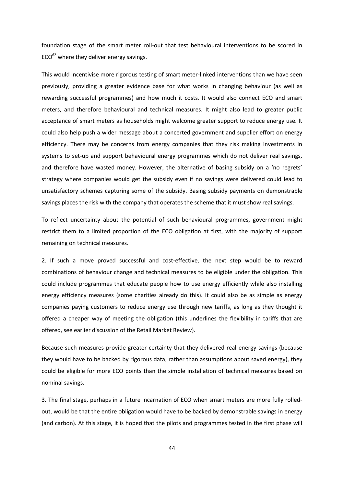foundation stage of the smart meter roll-out that test behavioural interventions to be scored in  $ECO<sup>62</sup>$  where they deliver energy savings.

This would incentivise more rigorous testing of smart meter-linked interventions than we have seen previously, providing a greater evidence base for what works in changing behaviour (as well as rewarding successful programmes) and how much it costs. It would also connect ECO and smart meters, and therefore behavioural and technical measures. It might also lead to greater public acceptance of smart meters as households might welcome greater support to reduce energy use. It could also help push a wider message about a concerted government and supplier effort on energy efficiency. There may be concerns from energy companies that they risk making investments in systems to set-up and support behavioural energy programmes which do not deliver real savings, and therefore have wasted money. However, the alternative of basing subsidy on a 'no regrets' strategy where companies would get the subsidy even if no savings were delivered could lead to unsatisfactory schemes capturing some of the subsidy. Basing subsidy payments on demonstrable savings places the risk with the company that operates the scheme that it must show real savings.

To reflect uncertainty about the potential of such behavioural programmes, government might restrict them to a limited proportion of the ECO obligation at first, with the majority of support remaining on technical measures.

2. If such a move proved successful and cost-effective, the next step would be to reward combinations of behaviour change and technical measures to be eligible under the obligation. This could include programmes that educate people how to use energy efficiently while also installing energy efficiency measures (some charities already do this). It could also be as simple as energy companies paying customers to reduce energy use through new tariffs, as long as they thought it offered a cheaper way of meeting the obligation (this underlines the flexibility in tariffs that are offered, see earlier discussion of the Retail Market Review).

Because such measures provide greater certainty that they delivered real energy savings (because they would have to be backed by rigorous data, rather than assumptions about saved energy), they could be eligible for more ECO points than the simple installation of technical measures based on nominal savings.

3. The final stage, perhaps in a future incarnation of ECO when smart meters are more fully rolledout, would be that the entire obligation would have to be backed by demonstrable savings in energy (and carbon). At this stage, it is hoped that the pilots and programmes tested in the first phase will

44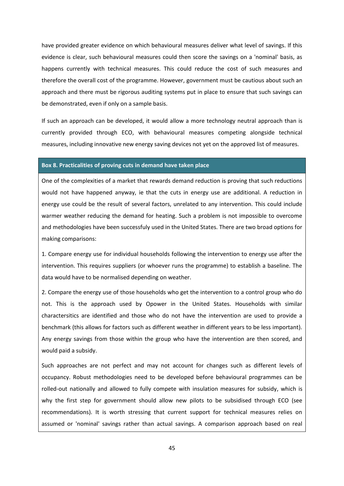have provided greater evidence on which behavioural measures deliver what level of savings. If this evidence is clear, such behavioural measures could then score the savings on a 'nominal' basis, as happens currently with technical measures. This could reduce the cost of such measures and therefore the overall cost of the programme. However, government must be cautious about such an approach and there must be rigorous auditing systems put in place to ensure that such savings can be demonstrated, even if only on a sample basis.

If such an approach can be developed, it would allow a more technology neutral approach than is currently provided through ECO, with behavioural measures competing alongside technical measures, including innovative new energy saving devices not yet on the approved list of measures.

#### **Box 8. Practicalities of proving cuts in demand have taken place**

One of the complexities of a market that rewards demand reduction is proving that such reductions would not have happened anyway, ie that the cuts in energy use are additional. A reduction in energy use could be the result of several factors, unrelated to any intervention. This could include warmer weather reducing the demand for heating. Such a problem is not impossible to overcome and methodologies have been successfuly used in the United States. There are two broad options for making comparisons:

1. Compare energy use for individual households following the intervention to energy use after the intervention. This requires suppliers (or whoever runs the programme) to establish a baseline. The data would have to be normalised depending on weather.

2. Compare the energy use of those households who get the intervention to a control group who do not. This is the approach used by Opower in the United States. Households with similar charactersitics are identified and those who do not have the intervention are used to provide a benchmark (this allows for factors such as different weather in different years to be less important). Any energy savings from those within the group who have the intervention are then scored, and would paid a subsidy.

Such approaches are not perfect and may not account for changes such as different levels of occupancy. Robust methodologies need to be developed before behavioural programmes can be rolled-out nationally and allowed to fully compete with insulation measures for subsidy, which is why the first step for government should allow new pilots to be subsidised through ECO (see recommendations). It is worth stressing that current support for technical measures relies on assumed or 'nominal' savings rather than actual savings. A comparison approach based on real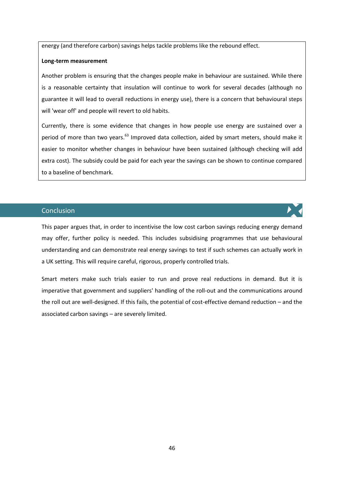energy (and therefore carbon) savings helps tackle problems like the rebound effect.

#### **Long-term measurement**

Another problem is ensuring that the changes people make in behaviour are sustained. While there is a reasonable certainty that insulation will continue to work for several decades (although no guarantee it will lead to overall reductions in energy use), there is a concern that behavioural steps will 'wear off' and people will revert to old habits.

Currently, there is some evidence that changes in how people use energy are sustained over a period of more than two years.<sup>63</sup> Improved data collection, aided by smart meters, should make it easier to monitor whether changes in behaviour have been sustained (although checking will add extra cost). The subsidy could be paid for each year the savings can be shown to continue compared to a baseline of benchmark.

#### **Conclusion**

This paper argues that, in order to incentivise the low cost carbon savings reducing energy demand may offer, further policy is needed. This includes subsidising programmes that use behavioural understanding and can demonstrate real energy savings to test if such schemes can actually work in a UK setting. This will require careful, rigorous, properly controlled trials.

Smart meters make such trials easier to run and prove real reductions in demand. But it is imperative that government and suppliers' handling of the roll-out and the communications around the roll out are well-designed. If this fails, the potential of cost-effective demand reduction – and the associated carbon savings – are severely limited.

46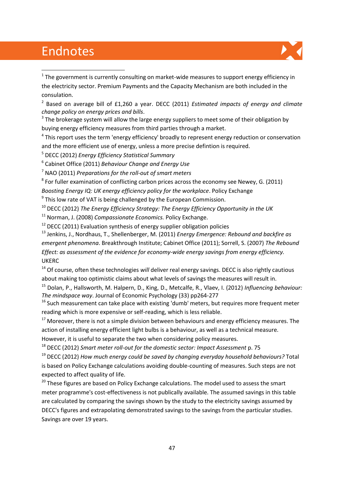### Endnotes

**.** 



 $1$  The government is currently consulting on market-wide measures to support energy efficiency in the electricity sector. Premium Payments and the Capacity Mechanism are both included in the consulation.

2 Based on average bill of £1,260 a year. DECC (2011) *Estimated impacts of energy and climate change policy on energy prices and bills*.

 $3$  The brokerage system will allow the large energy suppliers to meet some of their obligation by buying energy efficiency measures from third parties through a market.

<sup>4</sup> This report uses the term 'energy efficiency' broadly to represent energy reduction or conservation and the more efficient use of energy, unless a more precise defintion is required.

<sup>5</sup> DECC (2012) *Energy Efficiency Statistical Summary*

6 Cabinet Office (2011) *Behaviour Change and Energy Use*

<sup>7</sup> NAO (2011) *Preparations for the roll-out of smart meters*

 $8$  For fuller examination of conflicting carbon prices across the economy see Newey, G. (2011)

*Boosting Energy IQ: UK energy efficiency policy for the workplace*. Policy Exchange

<sup>9</sup> This low rate of VAT is being challenged by the European Commission.

<sup>10</sup> DECC (2012) *The Energy Efficiency Strategy: The Energy Efficiency Opportunity in the UK*

<sup>11</sup> Norman, J. (2008) *Compassionate Economics.* Policy Exchange.

 $12$  DECC (2011) Evaluation synthesis of energy supplier obligation policies

<sup>13</sup> Jenkins, J., Nordhaus, T., Shellenberger, M. (2011) *Energy Emergence: Rebound and backfire as emergent phenomena*. Breakthrough Institute; Cabinet Office (2011); Sorrell, S. (2007) *The Rebound Effect: as assessment of the evidence for economy-wide energy savings from energy efficiency.* UKERC

<sup>14</sup> Of course, often these technologies *will* deliver real energy savings. DECC is also rightly cautious about making too optimistic claims about what levels of savings the measures will result in.

<sup>15</sup> Dolan, P., Hallsworth, M. Halpern, D., King, D., Metcalfe, R., Vlaev, I. (2012) *Influencing behaviour: The mindspace way*. Journal of Economic Psychology (33) pp264-277

 $16$  Such measurement can take place with existing 'dumb' meters, but requires more frequent meter reading which is more expensive or self-reading, which is less reliable.

 $17$  Moreover, there is not a simple division between behaviours and energy efficiency measures. The action of installing energy efficient light bulbs is a behaviour, as well as a technical measure.

However, it is useful to separate the two when considering policy measures.

<sup>18</sup> DECC (2012) *Smart meter roll-out for the domestic sector: Impact Assessment* p. 75

<sup>19</sup> DECC (2012) *How much energy could be saved by changing everyday household behaviours?* Total is based on Policy Exchange calculations avoiding double-counting of measures. Such steps are not expected to affect quality of life.

 $20$  These figures are based on Policy Exchange calculations. The model used to assess the smart meter programme's cost-effectiveness is not publically available. The assumed savings in this table are calculated by comparing the savings shown by the study to the electricity savings assumed by DECC's figures and extrapolating demonstrated savings to the savings from the particular studies. Savings are over 19 years.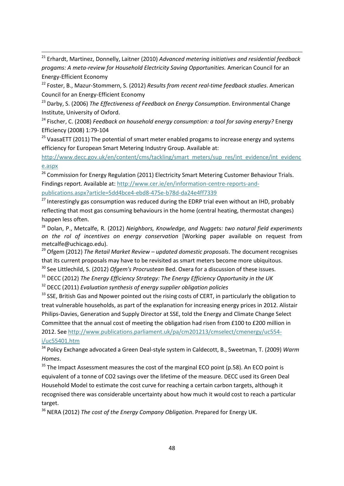<sup>21</sup> Erhardt, Martinez, Donnelly, Laitner (2010) *Advanced metering initiatives and residential feedback progams: A meta-review for Household Electricity Saving Opportunities.* American Council for an Energy-Efficient Economy

1

<sup>22</sup> Foster, B., Mazur-Stommern, S. (2012) *Results from recent real-time feedback studies*. American Council for an Energy-Efficient Economy

<sup>23</sup> Darby, S. (2006) *The Effectiveness of Feedback on Energy Consumption*. Environmental Change Institute, University of Oxford.

<sup>24</sup> Fischer, C. (2008) *Feedback on household energy consumption: a tool for saving energy?* Energy Efficiency (2008) 1:79-104

 $25$  VaasaETT (2011) The potential of smart meter enabled progams to increase energy and systems efficiency for European Smart Metering Industry Group. Available at:

http://www.decc.gov.uk/en/content/cms/tackling/smart\_meters/sup\_res/int\_evidence/int\_evidenc e.aspx

<sup>26</sup> Commission for Energy Regulation (2011) Electricity Smart Metering Customer Behaviour Trials. Findings report. Available at: http://www.cer.ie/en/information-centre-reports-andpublications.aspx?article=5dd4bce4-ebd8-475e-b78d-da24e4ff7339

 $27$  Interestingly gas consumption was reduced during the EDRP trial even without an IHD, probably reflecting that most gas consuming behaviours in the home (central heating, thermostat changes) happen less often.

<sup>28</sup> Dolan, P., Metcalfe, R. (2012) *Neighbors, Knowledge, and Nuggets: two natural field experiments on the rol of incentives on energy conservation* [Working paper available on request from metcalfe@uchicago.edu).

<sup>29</sup> Ofgem (2012) *The Retail Market Review – updated domestic proposals*. The document recognises that its current proposals may have to be revisited as smart meters become more ubiquitous.

<sup>30</sup> See Littlechild, S. (2012) *Ofgem's Procrustean* Bed. Oxera for a discussion of these issues.

<sup>31</sup> DECC (2012) *The Energy Efficiency Strategy: The Energy Efficiency Opportunity in the UK*

<sup>32</sup> DECC (2011) *Evaluation synthesis of energy supplier obligation policies*

<sup>33</sup> SSE, British Gas and Npower pointed out the rising costs of CERT, in particularly the obligation to treat vulnerable households, as part of the explanation for increasing energy prices in 2012. Alistair Philips-Davies, Generation and Supply Director at SSE, told the Energy and Climate Change Select Committee that the annual cost of meeting the obligation had risen from £100 to £200 million in 2012. See [http://www.publications.parliament.uk/pa/cm201213/cmselect/cmenergy/uc554](http://www.publications.parliament.uk/pa/cm201213/cmselect/cmenergy/uc554-i/uc55401.htm) [i/uc55401.htm](http://www.publications.parliament.uk/pa/cm201213/cmselect/cmenergy/uc554-i/uc55401.htm)

<sup>34</sup> Policy Exchange advocated a Green Deal-style system in Caldecott, B., Sweetman, T. (2009) *Warm Homes*.

 $35$  The Impact Assessment measures the cost of the marginal ECO point (p.58). An ECO point is equivalent of a tonne of CO2 savings over the lifetime of the measure. DECC used its Green Deal Household Model to estimate the cost curve for reaching a certain carbon targets, although it recognised there was considerable uncertainty about how much it would cost to reach a particular target.

<sup>36</sup> NERA (2012) *The cost of the Energy Company Obligation*. Prepared for Energy UK.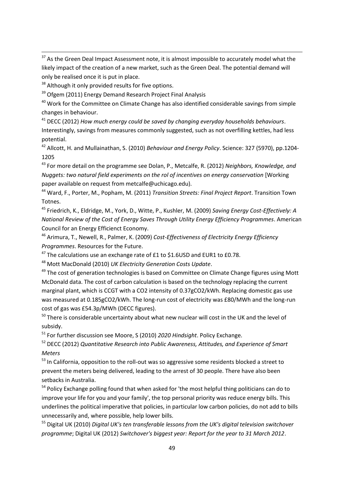<sup>37</sup> As the Green Deal Impact Assessment note, it is almost impossible to accurately model what the likely impact of the creation of a new market, such as the Green Deal. The potential demand will only be realised once it is put in place.

<sup>38</sup> Although it only provided results for five options.

1

<sup>39</sup> Ofgem (2011) Energy Demand Research Project Final Analysis

<sup>40</sup> Work for the Committee on Climate Change has also identified considerable savings from simple changes in behaviour.

<sup>41</sup> DECC (2012) *How much energy could be saved by changing everyday households behaviours*. Interestingly, savings from measures commonly suggested, such as not overfilling kettles, had less potential.

<sup>42</sup> Allcott, H. and Mullainathan, S. (2010) *Behaviour and Energy Policy*. Science: 327 (5970), pp.1204- 1205

<sup>43</sup> For more detail on the programme see Dolan, P., Metcalfe, R. (2012) *Neighbors, Knowledge, and Nuggets: two natural field experiments on the rol of incentives on energy conservation* [Working paper available on request from metcalfe@uchicago.edu).

<sup>44</sup> Ward, F., Porter, M., Popham, M. (2011) *Transition Streets: Final Project Report*. Transition Town Totnes.

<sup>45</sup> Friedrich, K., Eldridge, M., York, D., Witte, P., Kushler, M. (2009) *Saving Energy Cost-Effectively: A National Review of the Cost of Energy Saves Through Utility Energy Efficiency Programmes*. American Council for an Energy Efficienct Economy.

<sup>46</sup> Arimura, T., Newell, R., Palmer, K. (2009) *Cost-Effectiveness of Electricity Energy Efficiency Programmes*. Resources for the Future.

 $47$  The calculations use an exchange rate of £1 to \$1.6USD and EUR1 to £0.78.

<sup>48</sup> Mott MacDonald (2010) *UK Electricity Generation Costs Update*.

<sup>49</sup> The cost of generation technologies is based on Committee on Climate Change figures using Mott McDonald data. The cost of carbon calculation is based on the technology replacing the current marginal plant, which is CCGT with a CO2 intensity of 0.37gCO2/kWh. Replacing domestic gas use was measured at 0.185gCO2/kWh. The long-run cost of electricity was £80/MWh and the long-run cost of gas was £54.3p/MWh (DECC figures).

 $50$  There is considerable uncertainty about what new nuclear will cost in the UK and the level of subsidy.

<sup>51</sup> For further discussion see Moore, S (2010) *2020 Hindsight*. Policy Exchange.

<sup>52</sup> DECC (2012) *Quantitative Research into Public Awareness, Attitudes, and Experience of Smart Meters*

<sup>53</sup> In California, opposition to the roll-out was so aggressive some residents blocked a street to prevent the meters being delivered, leading to the arrest of 30 people. There have also been setbacks in Australia.

<sup>54</sup> Policy Exchange polling found that when asked for 'the most helpful thing politicians can do to improve your life for you and your family', the top personal priority was reduce energy bills. This underlines the political imperative that policies, in particular low carbon policies, do not add to bills unnecessarily and, where possible, help lower bills.

<sup>55</sup> Digital UK (2010) *Digital UK's ten transferable lessons from the UK's digital television switchover programme*; Digital UK (2012) *Switchover's biggest year: Report for the year to 31 March 2012*.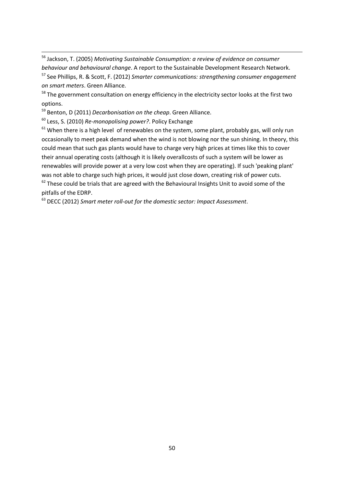<sup>56</sup> Jackson, T. (2005) *Motivating Sustainable Consumption: a review of evidence on consumer behaviour and behavioural change*. A report to the Sustainable Development Research Network. <sup>57</sup> See Phillips, R. & Scott, F. (2012) *Smarter communications: strengthening consumer engagement on smart meters*. Green Alliance.

<sup>58</sup> The government consultation on energy efficiency in the electricity sector looks at the first two options.

<sup>59</sup> Benton, D (2011) *Decarbonisation on the cheap*. Green Alliance.

<sup>60</sup> Less, S. (2010) *Re-monopolising power?*. Policy Exchange

1

 $61$  When there is a high level of renewables on the system, some plant, probably gas, will only run occasionally to meet peak demand when the wind is not blowing nor the sun shining. In theory, this could mean that such gas plants would have to charge very high prices at times like this to cover their annual operating costs (although it is likely overallcosts of such a system will be lower as renewables will provide power at a very low cost when they are operating). If such 'peaking plant' was not able to charge such high prices, it would just close down, creating risk of power cuts.  $62$  These could be trials that are agreed with the Behavioural Insights Unit to avoid some of the

pitfalls of the EDRP.

<sup>63</sup> DECC (2012) *Smart meter roll-out for the domestic sector: Impact Assessment*.